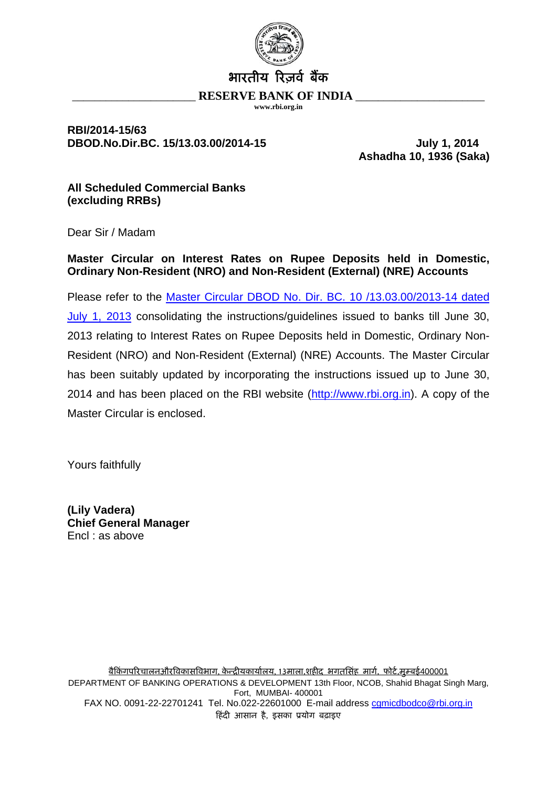

### **RBI/2014-15/63 DBOD.No.Dir.BC. 15/13.03.00/2014-15 July 1, 2014**

**Ashadha 10, 1936 (Saka)** 

**All Scheduled Commercial Banks (excluding RRBs)** 

Dear Sir / Madam

**Master Circular on Interest Rates on Rupee Deposits held in Domestic, Ordinary Non-Resident (NRO) and Non-Resident (External) (NRE) Accounts**

Please refer to the [Master Circular DBOD No. Dir. BC. 10 /13.03.00/2013-14 dated](http://rbi.org.in/scripts/BS_ViewMasCirculardetails.aspx?Id=8137&Mode=0)  [July 1, 2013](http://rbi.org.in/scripts/BS_ViewMasCirculardetails.aspx?Id=8137&Mode=0) consolidating the instructions/guidelines issued to banks till June 30, 2013 relating to Interest Rates on Rupee Deposits held in Domestic, Ordinary Non-Resident (NRO) and Non-Resident (External) (NRE) Accounts. The Master Circular has been suitably updated by incorporating the instructions issued up to June 30, 2014 and has been placed on the RBI website ([http://www.rbi.org.in](http://www.rbi.org.in/)). A copy of the Master Circular is enclosed.

Yours faithfully

**(Lily Vadera) Chief General Manager**  Encl : as above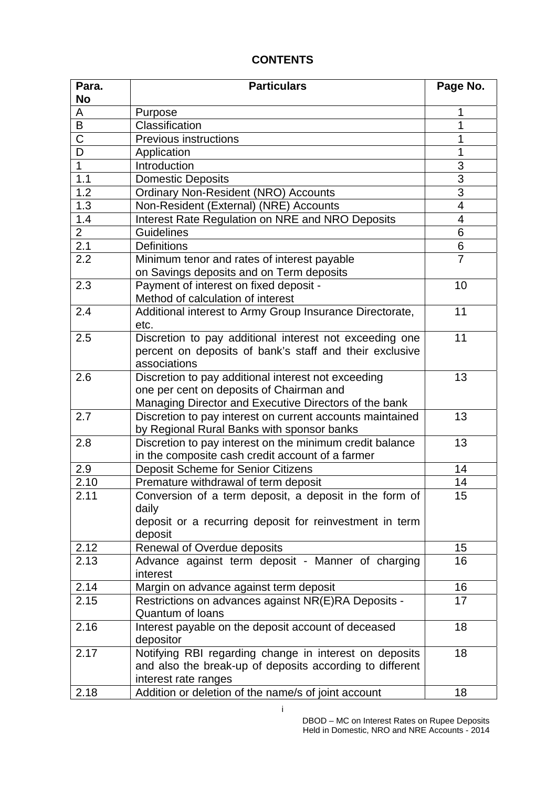# **CONTENTS**

| Para.                   | <b>Particulars</b>                                                      | Page No.       |
|-------------------------|-------------------------------------------------------------------------|----------------|
| <b>No</b>               |                                                                         |                |
| A                       | Purpose                                                                 | 1              |
| $\overline{\mathsf{B}}$ | Classification                                                          | 1              |
| $\overline{\text{C}}$   | <b>Previous instructions</b>                                            | 1              |
| $\overline{\mathsf{D}}$ | Application                                                             | 1              |
| $\overline{1}$          | Introduction                                                            | $\overline{3}$ |
| 1.1                     | <b>Domestic Deposits</b>                                                | $\overline{3}$ |
| 1.2                     | <b>Ordinary Non-Resident (NRO) Accounts</b>                             | $\overline{3}$ |
| 1.3                     | Non-Resident (External) (NRE) Accounts                                  | $\overline{4}$ |
| 1.4                     | Interest Rate Regulation on NRE and NRO Deposits                        | 4              |
| $\overline{2}$          | <b>Guidelines</b>                                                       | 6              |
| 2.1                     | <b>Definitions</b>                                                      | 6              |
| 2.2                     | Minimum tenor and rates of interest payable                             | $\overline{7}$ |
|                         | on Savings deposits and on Term deposits                                |                |
| 2.3                     | Payment of interest on fixed deposit -                                  | 10             |
|                         | Method of calculation of interest                                       |                |
| 2.4                     | Additional interest to Army Group Insurance Directorate,                | 11             |
|                         | etc.                                                                    |                |
| 2.5                     | Discretion to pay additional interest not exceeding one                 | 11             |
|                         | percent on deposits of bank's staff and their exclusive                 |                |
|                         | associations                                                            |                |
| 2.6                     | Discretion to pay additional interest not exceeding                     | 13             |
|                         | one per cent on deposits of Chairman and                                |                |
|                         | Managing Director and Executive Directors of the bank                   |                |
| 2.7                     | Discretion to pay interest on current accounts maintained               | 13             |
|                         | by Regional Rural Banks with sponsor banks                              |                |
| 2.8                     | Discretion to pay interest on the minimum credit balance                | 13             |
|                         | in the composite cash credit account of a farmer                        |                |
| 2.9                     | Deposit Scheme for Senior Citizens                                      | 14             |
| 2.10                    | Premature withdrawal of term deposit                                    | 14             |
| 2.11                    | Conversion of a term deposit, a deposit in the form of                  | 15             |
|                         | daily                                                                   |                |
|                         | deposit or a recurring deposit for reinvestment in term                 |                |
|                         | deposit                                                                 |                |
| 2.12                    | Renewal of Overdue deposits                                             | 15             |
| 2.13                    | Advance against term deposit - Manner of charging                       | 16             |
|                         | interest                                                                |                |
| 2.14                    |                                                                         | 16             |
|                         | Margin on advance against term deposit                                  |                |
| 2.15                    | Restrictions on advances against NR(E)RA Deposits -<br>Quantum of Ioans | 17             |
|                         |                                                                         |                |
| 2.16                    | Interest payable on the deposit account of deceased                     | 18             |
|                         | depositor                                                               |                |
| 2.17                    | Notifying RBI regarding change in interest on deposits                  | 18             |
|                         | and also the break-up of deposits according to different                |                |
|                         | interest rate ranges                                                    |                |
| 2.18                    | Addition or deletion of the name/s of joint account                     | 18             |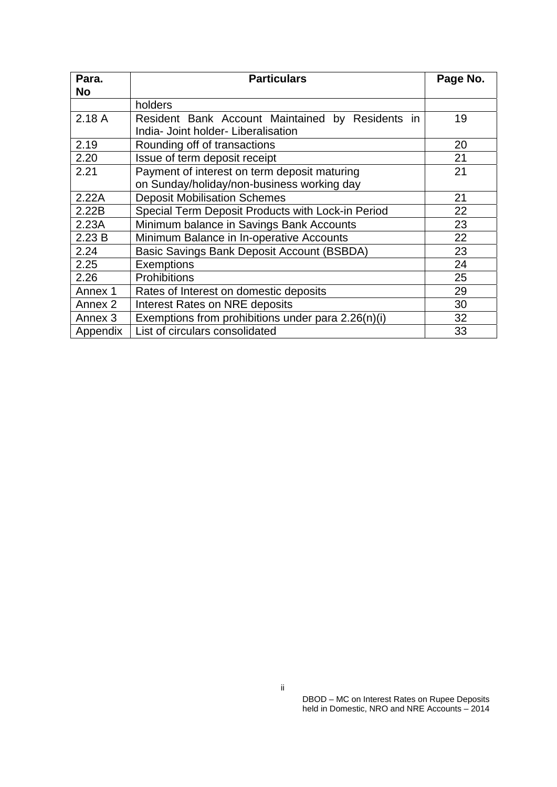| Para.<br>No | <b>Particulars</b>                                                                         | Page No. |
|-------------|--------------------------------------------------------------------------------------------|----------|
|             | holders                                                                                    |          |
| 2.18A       | Resident Bank Account Maintained by Residents in<br>India- Joint holder- Liberalisation    | 19       |
| 2.19        | Rounding off of transactions                                                               | 20       |
| 2.20        | Issue of term deposit receipt                                                              | 21       |
| 2.21        | Payment of interest on term deposit maturing<br>on Sunday/holiday/non-business working day | 21       |
| 2.22A       | <b>Deposit Mobilisation Schemes</b>                                                        | 21       |
| 2.22B       | Special Term Deposit Products with Lock-in Period                                          | 22       |
| 2.23A       | Minimum balance in Savings Bank Accounts                                                   | 23       |
| 2.23B       | Minimum Balance in In-operative Accounts                                                   | 22       |
| 2.24        | Basic Savings Bank Deposit Account (BSBDA)                                                 | 23       |
| 2.25        | Exemptions                                                                                 | 24       |
| 2.26        | <b>Prohibitions</b>                                                                        | 25       |
| Annex 1     | Rates of Interest on domestic deposits                                                     | 29       |
| Annex 2     | <b>Interest Rates on NRE deposits</b>                                                      | 30       |
| Annex 3     | Exemptions from prohibitions under para 2.26(n)(i)                                         | 32       |
| Appendix    | List of circulars consolidated                                                             | 33       |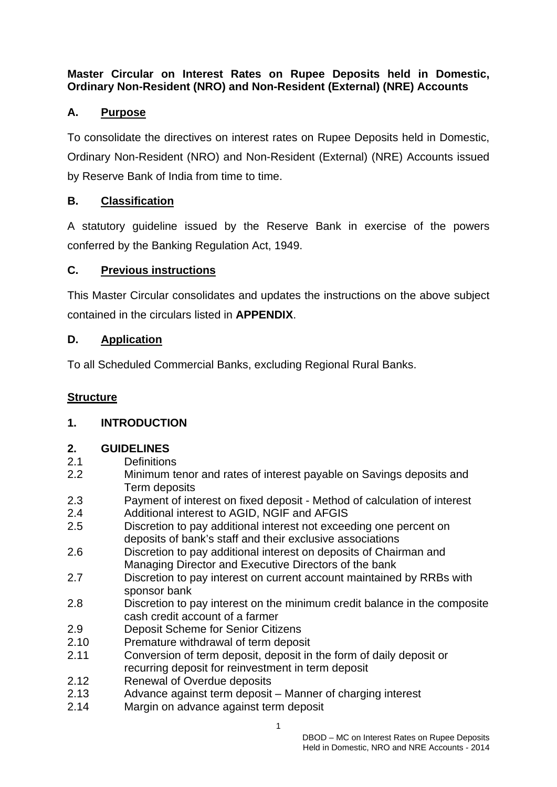# **Master Circular on Interest Rates on Rupee Deposits held in Domestic, Ordinary Non-Resident (NRO) and Non-Resident (External) (NRE) Accounts**

# **A. Purpose**

To consolidate the directives on interest rates on Rupee Deposits held in Domestic, Ordinary Non-Resident (NRO) and Non-Resident (External) (NRE) Accounts issued by Reserve Bank of India from time to time.

# **B. Classification**

A statutory guideline issued by the Reserve Bank in exercise of the powers conferred by the Banking Regulation Act, 1949.

# **C. Previous instructions**

This Master Circular consolidates and updates the instructions on the above subject contained in the circulars listed in **APPENDIX**.

# **D. Application**

To all Scheduled Commercial Banks, excluding Regional Rural Banks.

# **Structure**

# **1. INTRODUCTION**

# **2. GUIDELINES**

- 2.1 Definitions
- 2.2 Minimum tenor and rates of interest payable on Savings deposits and Term deposits
- 2.3 Payment of interest on fixed deposit Method of calculation of interest
- 2.4 Additional interest to AGID, NGIF and AFGIS
- 2.5 Discretion to pay additional interest not exceeding one percent on deposits of bank's staff and their exclusive associations
- 2.6 Discretion to pay additional interest on deposits of Chairman and Managing Director and Executive Directors of the bank
- 2.7 Discretion to pay interest on current account maintained by RRBs with sponsor bank
- 2.8 Discretion to pay interest on the minimum credit balance in the composite cash credit account of a farmer
- 2.9 Deposit Scheme for Senior Citizens
- 2.10 Premature withdrawal of term deposit
- 2.11 Conversion of term deposit, deposit in the form of daily deposit or recurring deposit for reinvestment in term deposit
- 2.12 Renewal of Overdue deposits
- 2.13 Advance against term deposit Manner of charging interest
- 2.14 Margin on advance against term deposit

1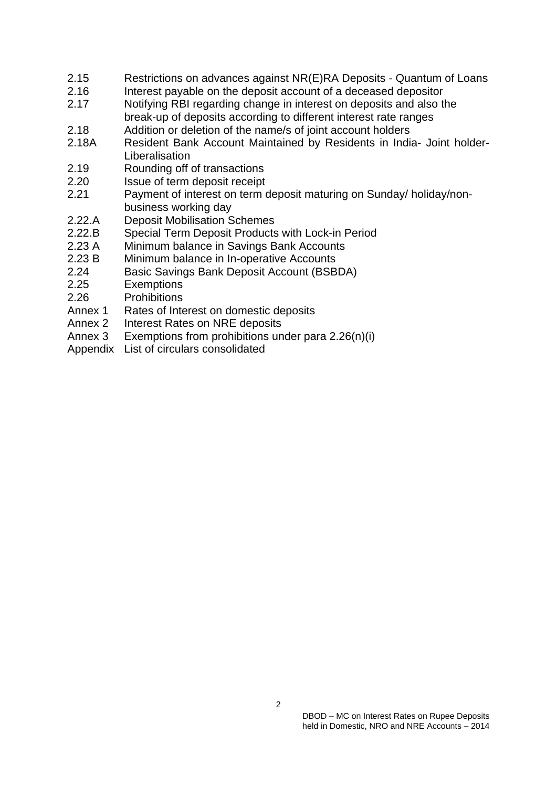- 2.15 Restrictions on advances against NR(E)RA Deposits Quantum of Loans
- 2.16 Interest payable on the deposit account of a deceased depositor
- 2.17 Notifying RBI regarding change in interest on deposits and also the break-up of deposits according to different interest rate ranges
- 2.18 Addition or deletion of the name/s of joint account holders
- 2.18A Resident Bank Account Maintained by Residents in India- Joint holder-Liberalisation
- 2.19 Rounding off of transactions
- 2.20 Issue of term deposit receipt
- 2.21 Payment of interest on term deposit maturing on Sunday/ holiday/nonbusiness working day
- 2.22.A Deposit Mobilisation Schemes
- 2.22.B Special Term Deposit Products with Lock-in Period<br>2.23 A Minimum balance in Savings Bank Accounts
- Minimum balance in Savings Bank Accounts
- 2.23 B Minimum balance in In-operative Accounts
- 2.24 Basic Savings Bank Deposit Account (BSBDA)
- 2.25 Exemptions
- 2.26 Prohibitions
- Annex 1 Rates of Interest on domestic deposits
- Annex 2 Interest Rates on NRE deposits
- Annex 3 Exemptions from prohibitions under para 2.26(n)(i)
- Appendix List of circulars consolidated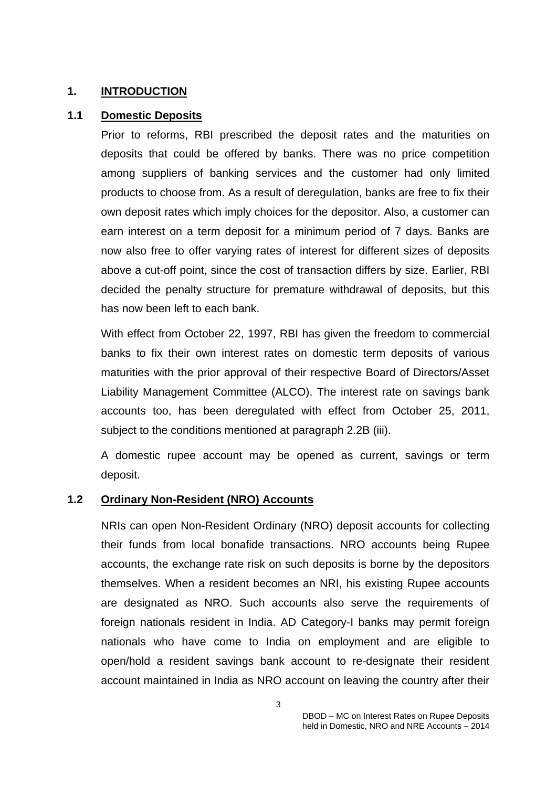#### **1. INTRODUCTION**

#### **1.1 Domestic Deposits**

Prior to reforms, RBI prescribed the deposit rates and the maturities on deposits that could be offered by banks. There was no price competition among suppliers of banking services and the customer had only limited products to choose from. As a result of deregulation, banks are free to fix their own deposit rates which imply choices for the depositor. Also, a customer can earn interest on a term deposit for a minimum period of 7 days. Banks are now also free to offer varying rates of interest for different sizes of deposits above a cut-off point, since the cost of transaction differs by size. Earlier, RBI decided the penalty structure for premature withdrawal of deposits, but this has now been left to each bank.

With effect from October 22, 1997, RBI has given the freedom to commercial banks to fix their own interest rates on domestic term deposits of various maturities with the prior approval of their respective Board of Directors/Asset Liability Management Committee (ALCO). The interest rate on savings bank accounts too, has been deregulated with effect from October 25, 2011, subject to the conditions mentioned at paragraph 2.2B (iii).

A domestic rupee account may be opened as current, savings or term deposit.

### **1.2 Ordinary Non-Resident (NRO) Accounts**

NRIs can open Non-Resident Ordinary (NRO) deposit accounts for collecting their funds from local bonafide transactions. NRO accounts being Rupee accounts, the exchange rate risk on such deposits is borne by the depositors themselves. When a resident becomes an NRI, his existing Rupee accounts are designated as NRO. Such accounts also serve the requirements of foreign nationals resident in India. AD Category-I banks may permit foreign nationals who have come to India on employment and are eligible to open/hold a resident savings bank account to re-designate their resident account maintained in India as NRO account on leaving the country after their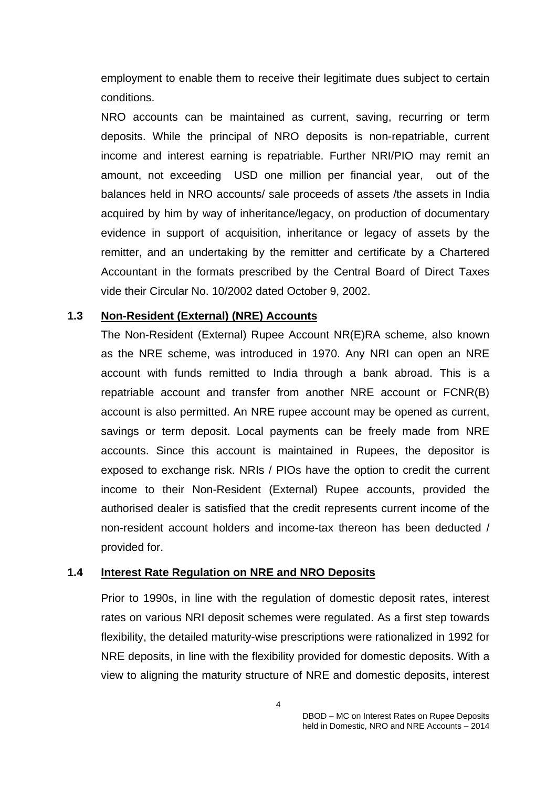employment to enable them to receive their legitimate dues subject to certain conditions.

NRO accounts can be maintained as current, saving, recurring or term deposits. While the principal of NRO deposits is non-repatriable, current income and interest earning is repatriable. Further NRI/PIO may remit an amount, not exceeding USD one million per financial year, out of the balances held in NRO accounts/ sale proceeds of assets /the assets in India acquired by him by way of inheritance/legacy, on production of documentary evidence in support of acquisition, inheritance or legacy of assets by the remitter, and an undertaking by the remitter and certificate by a Chartered Accountant in the formats prescribed by the Central Board of Direct Taxes vide their Circular No. 10/2002 dated October 9, 2002.

#### **1.3 Non-Resident (External) (NRE) Accounts**

The Non-Resident (External) Rupee Account NR(E)RA scheme, also known as the NRE scheme, was introduced in 1970. Any NRI can open an NRE account with funds remitted to India through a bank abroad. This is a repatriable account and transfer from another NRE account or FCNR(B) account is also permitted. An NRE rupee account may be opened as current, savings or term deposit. Local payments can be freely made from NRE accounts. Since this account is maintained in Rupees, the depositor is exposed to exchange risk. NRIs / PIOs have the option to credit the current income to their Non-Resident (External) Rupee accounts, provided the authorised dealer is satisfied that the credit represents current income of the non-resident account holders and income-tax thereon has been deducted / provided for.

#### **1.4 Interest Rate Regulation on NRE and NRO Deposits**

Prior to 1990s, in line with the regulation of domestic deposit rates, interest rates on various NRI deposit schemes were regulated. As a first step towards flexibility, the detailed maturity-wise prescriptions were rationalized in 1992 for NRE deposits, in line with the flexibility provided for domestic deposits. With a view to aligning the maturity structure of NRE and domestic deposits, interest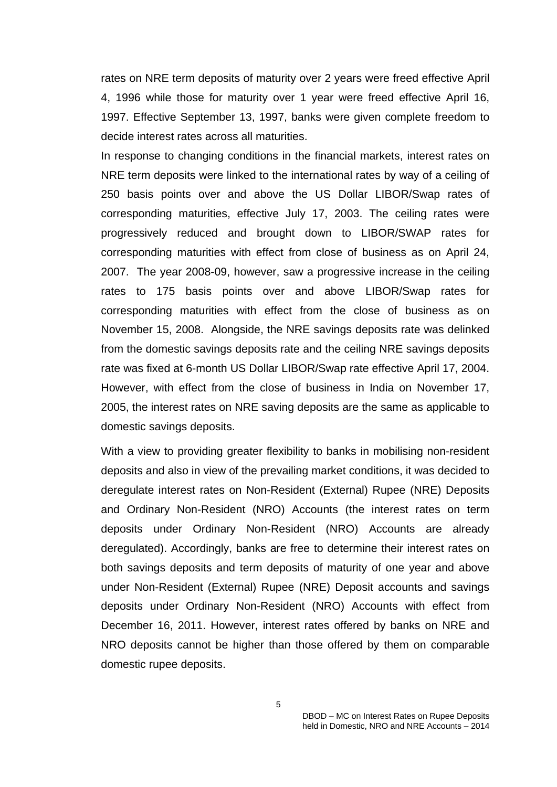rates on NRE term deposits of maturity over 2 years were freed effective April 4, 1996 while those for maturity over 1 year were freed effective April 16, 1997. Effective September 13, 1997, banks were given complete freedom to decide interest rates across all maturities.

In response to changing conditions in the financial markets, interest rates on NRE term deposits were linked to the international rates by way of a ceiling of 250 basis points over and above the US Dollar LIBOR/Swap rates of corresponding maturities, effective July 17, 2003. The ceiling rates were progressively reduced and brought down to LIBOR/SWAP rates for corresponding maturities with effect from close of business as on April 24, 2007. The year 2008-09, however, saw a progressive increase in the ceiling rates to 175 basis points over and above LIBOR/Swap rates for corresponding maturities with effect from the close of business as on November 15, 2008. Alongside, the NRE savings deposits rate was delinked from the domestic savings deposits rate and the ceiling NRE savings deposits rate was fixed at 6-month US Dollar LIBOR/Swap rate effective April 17, 2004. However, with effect from the close of business in India on November 17, 2005, the interest rates on NRE saving deposits are the same as applicable to domestic savings deposits.

With a view to providing greater flexibility to banks in mobilising non-resident deposits and also in view of the prevailing market conditions, it was decided to deregulate interest rates on Non-Resident (External) Rupee (NRE) Deposits and Ordinary Non-Resident (NRO) Accounts (the interest rates on term deposits under Ordinary Non-Resident (NRO) Accounts are already deregulated). Accordingly, banks are free to determine their interest rates on both savings deposits and term deposits of maturity of one year and above under Non-Resident (External) Rupee (NRE) Deposit accounts and savings deposits under Ordinary Non-Resident (NRO) Accounts with effect from December 16, 2011. However, interest rates offered by banks on NRE and NRO deposits cannot be higher than those offered by them on comparable domestic rupee deposits.

 $5<sub>5</sub>$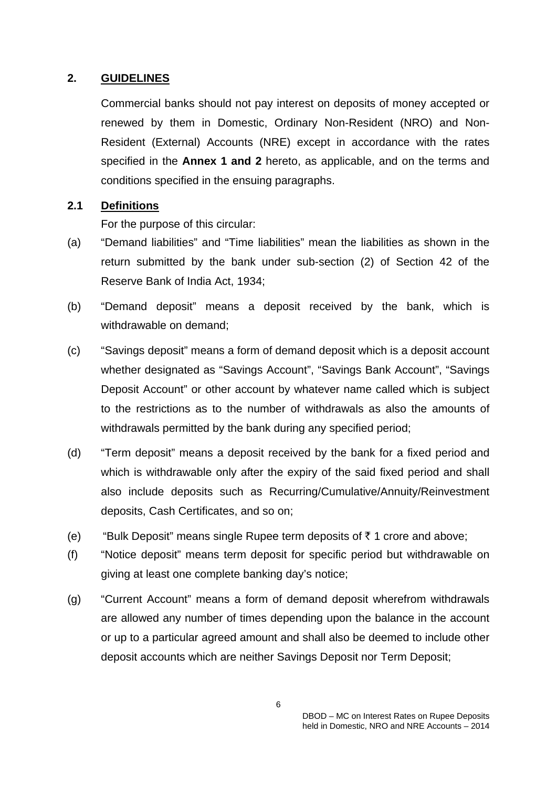### **2. GUIDELINES**

Commercial banks should not pay interest on deposits of money accepted or renewed by them in Domestic, Ordinary Non-Resident (NRO) and Non-Resident (External) Accounts (NRE) except in accordance with the rates specified in the **Annex 1 and 2** hereto, as applicable, and on the terms and conditions specified in the ensuing paragraphs.

### **2.1 Definitions**

For the purpose of this circular:

- (a) "Demand liabilities" and "Time liabilities" mean the liabilities as shown in the return submitted by the bank under sub-section (2) of Section 42 of the Reserve Bank of India Act, 1934;
- (b) "Demand deposit" means a deposit received by the bank, which is withdrawable on demand;
- (c) "Savings deposit" means a form of demand deposit which is a deposit account whether designated as "Savings Account", "Savings Bank Account", "Savings Deposit Account" or other account by whatever name called which is subject to the restrictions as to the number of withdrawals as also the amounts of withdrawals permitted by the bank during any specified period;
- (d) "Term deposit" means a deposit received by the bank for a fixed period and which is withdrawable only after the expiry of the said fixed period and shall also include deposits such as Recurring/Cumulative/Annuity/Reinvestment deposits, Cash Certificates, and so on;
- (e) "Bulk Deposit" means single Rupee term deposits of  $\bar{\tau}$  1 crore and above;
- (f) "Notice deposit" means term deposit for specific period but withdrawable on giving at least one complete banking day's notice;
- (g) "Current Account" means a form of demand deposit wherefrom withdrawals are allowed any number of times depending upon the balance in the account or up to a particular agreed amount and shall also be deemed to include other deposit accounts which are neither Savings Deposit nor Term Deposit;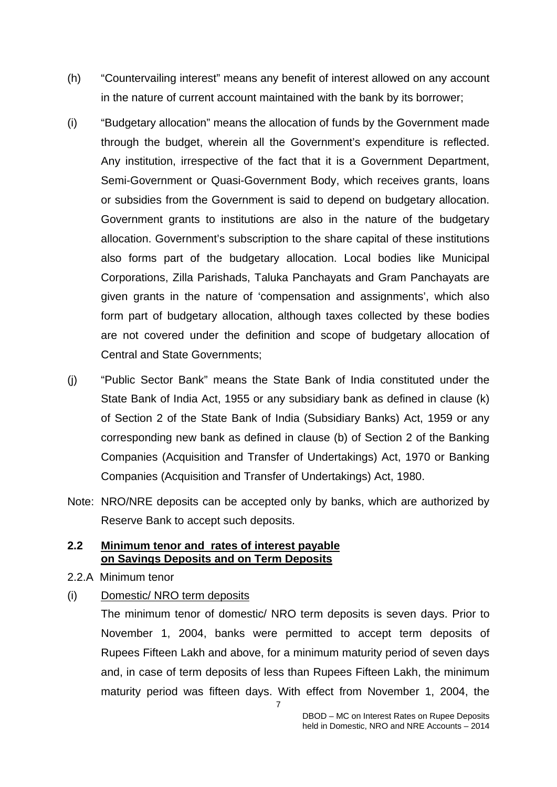- (h) "Countervailing interest" means any benefit of interest allowed on any account in the nature of current account maintained with the bank by its borrower;
- (i) "Budgetary allocation" means the allocation of funds by the Government made through the budget, wherein all the Government's expenditure is reflected. Any institution, irrespective of the fact that it is a Government Department, Semi-Government or Quasi-Government Body, which receives grants, loans or subsidies from the Government is said to depend on budgetary allocation. Government grants to institutions are also in the nature of the budgetary allocation. Government's subscription to the share capital of these institutions also forms part of the budgetary allocation. Local bodies like Municipal Corporations, Zilla Parishads, Taluka Panchayats and Gram Panchayats are given grants in the nature of 'compensation and assignments', which also form part of budgetary allocation, although taxes collected by these bodies are not covered under the definition and scope of budgetary allocation of Central and State Governments;
- (j) "Public Sector Bank" means the State Bank of India constituted under the State Bank of India Act, 1955 or any subsidiary bank as defined in clause (k) of Section 2 of the State Bank of India (Subsidiary Banks) Act, 1959 or any corresponding new bank as defined in clause (b) of Section 2 of the Banking Companies (Acquisition and Transfer of Undertakings) Act, 1970 or Banking Companies (Acquisition and Transfer of Undertakings) Act, 1980.
- Note: NRO/NRE deposits can be accepted only by banks, which are authorized by Reserve Bank to accept such deposits.

### **2.2 Minimum tenor and rates of interest payable on Savings Deposits and on Term Deposits**

- 2.2.A Minimum tenor
- (i) Domestic/ NRO term deposits

The minimum tenor of domestic/ NRO term deposits is seven days. Prior to November 1, 2004, banks were permitted to accept term deposits of Rupees Fifteen Lakh and above, for a minimum maturity period of seven days and, in case of term deposits of less than Rupees Fifteen Lakh, the minimum maturity period was fifteen days. With effect from November 1, 2004, the

7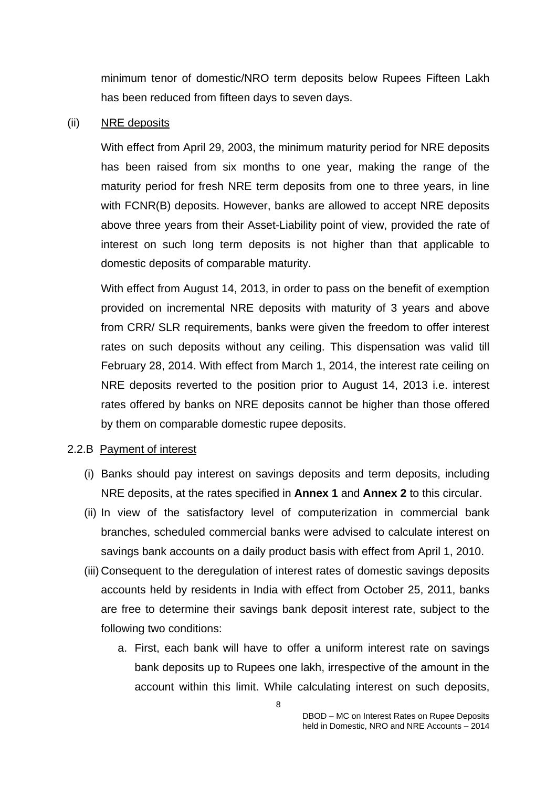minimum tenor of domestic/NRO term deposits below Rupees Fifteen Lakh has been reduced from fifteen days to seven days.

#### (ii) NRE deposits

With effect from April 29, 2003, the minimum maturity period for NRE deposits has been raised from six months to one year, making the range of the maturity period for fresh NRE term deposits from one to three years, in line with FCNR(B) deposits. However, banks are allowed to accept NRE deposits above three years from their Asset-Liability point of view, provided the rate of interest on such long term deposits is not higher than that applicable to domestic deposits of comparable maturity.

With effect from August 14, 2013, in order to pass on the benefit of exemption provided on incremental NRE deposits with maturity of 3 years and above from CRR/ SLR requirements, banks were given the freedom to offer interest rates on such deposits without any ceiling. This dispensation was valid till February 28, 2014. With effect from March 1, 2014, the interest rate ceiling on NRE deposits reverted to the position prior to August 14, 2013 i.e. interest rates offered by banks on NRE deposits cannot be higher than those offered by them on comparable domestic rupee deposits.

#### 2.2.B Payment of interest

- (i) Banks should pay interest on savings deposits and term deposits, including NRE deposits, at the rates specified in **Annex 1** and **Annex 2** to this circular.
- (ii) In view of the satisfactory level of computerization in commercial bank branches, scheduled commercial banks were advised to calculate interest on savings bank accounts on a daily product basis with effect from April 1, 2010.
- (iii) Consequent to the deregulation of interest rates of domestic savings deposits accounts held by residents in India with effect from October 25, 2011, banks are free to determine their savings bank deposit interest rate, subject to the following two conditions:
	- a. First, each bank will have to offer a uniform interest rate on savings bank deposits up to Rupees one lakh, irrespective of the amount in the account within this limit. While calculating interest on such deposits,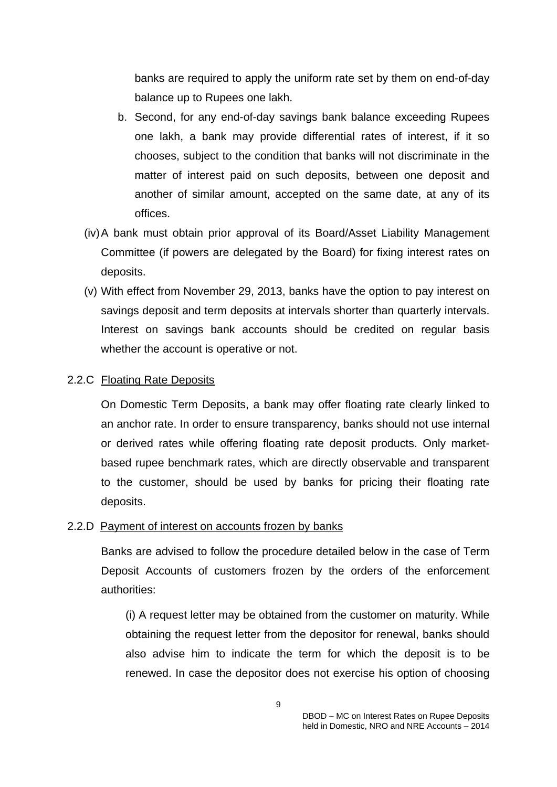banks are required to apply the uniform rate set by them on end-of-day balance up to Rupees one lakh.

- b. Second, for any end-of-day savings bank balance exceeding Rupees one lakh, a bank may provide differential rates of interest, if it so chooses, subject to the condition that banks will not discriminate in the matter of interest paid on such deposits, between one deposit and another of similar amount, accepted on the same date, at any of its offices.
- (iv) A bank must obtain prior approval of its Board/Asset Liability Management Committee (if powers are delegated by the Board) for fixing interest rates on deposits.
- (v) With effect from November 29, 2013, banks have the option to pay interest on savings deposit and term deposits at intervals shorter than quarterly intervals. Interest on savings bank accounts should be credited on regular basis whether the account is operative or not.

### 2.2.C Floating Rate Deposits

On Domestic Term Deposits, a bank may offer floating rate clearly linked to an anchor rate. In order to ensure transparency, banks should not use internal or derived rates while offering floating rate deposit products. Only marketbased rupee benchmark rates, which are directly observable and transparent to the customer, should be used by banks for pricing their floating rate deposits.

### 2.2.D Payment of interest on accounts frozen by banks

Banks are advised to follow the procedure detailed below in the case of Term Deposit Accounts of customers frozen by the orders of the enforcement authorities:

(i) A request letter may be obtained from the customer on maturity. While obtaining the request letter from the depositor for renewal, banks should also advise him to indicate the term for which the deposit is to be renewed. In case the depositor does not exercise his option of choosing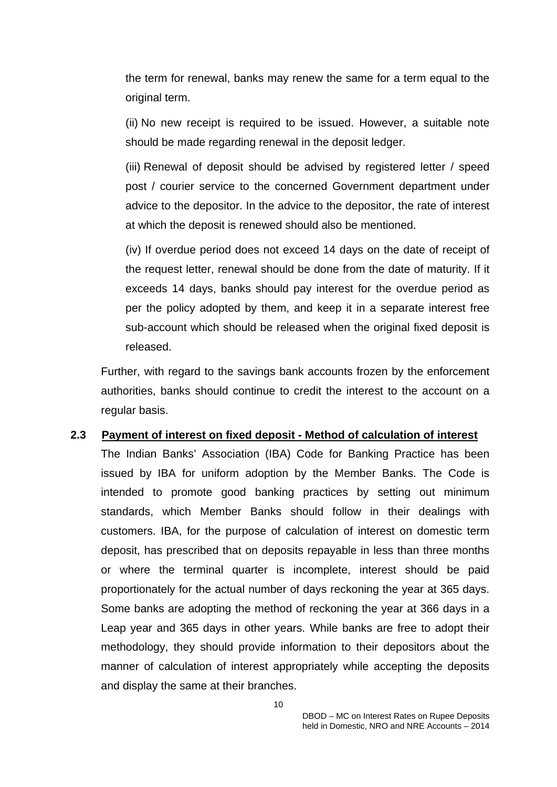the term for renewal, banks may renew the same for a term equal to the original term.

(ii) No new receipt is required to be issued. However, a suitable note should be made regarding renewal in the deposit ledger.

(iii) Renewal of deposit should be advised by registered letter / speed post / courier service to the concerned Government department under advice to the depositor. In the advice to the depositor, the rate of interest at which the deposit is renewed should also be mentioned.

(iv) If overdue period does not exceed 14 days on the date of receipt of the request letter, renewal should be done from the date of maturity. If it exceeds 14 days, banks should pay interest for the overdue period as per the policy adopted by them, and keep it in a separate interest free sub-account which should be released when the original fixed deposit is released.

Further, with regard to the savings bank accounts frozen by the enforcement authorities, banks should continue to credit the interest to the account on a regular basis.

### **2.3 Payment of interest on fixed deposit - Method of calculation of interest**

The Indian Banks' Association (IBA) Code for Banking Practice has been issued by IBA for uniform adoption by the Member Banks. The Code is intended to promote good banking practices by setting out minimum standards, which Member Banks should follow in their dealings with customers. IBA, for the purpose of calculation of interest on domestic term deposit, has prescribed that on deposits repayable in less than three months or where the terminal quarter is incomplete, interest should be paid proportionately for the actual number of days reckoning the year at 365 days. Some banks are adopting the method of reckoning the year at 366 days in a Leap year and 365 days in other years. While banks are free to adopt their methodology, they should provide information to their depositors about the manner of calculation of interest appropriately while accepting the deposits and display the same at their branches.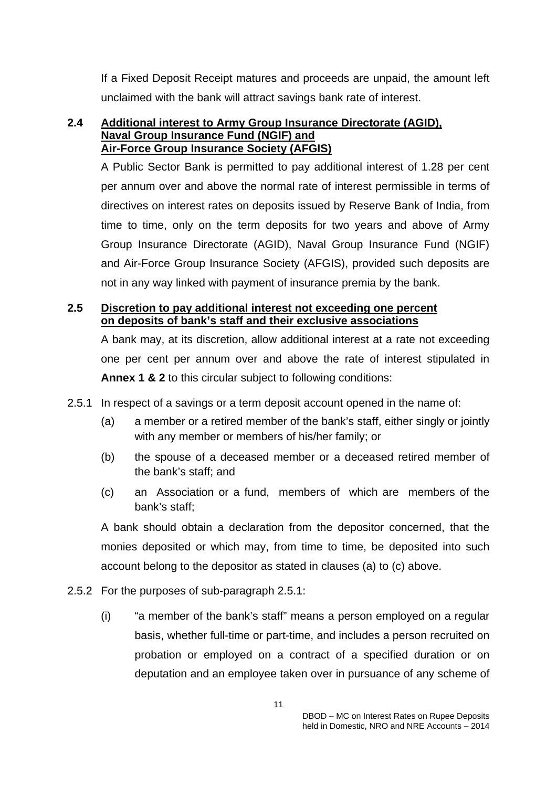If a Fixed Deposit Receipt matures and proceeds are unpaid, the amount left unclaimed with the bank will attract savings bank rate of interest.

#### **2.4 Additional interest to Army Group Insurance Directorate (AGID), Naval Group Insurance Fund (NGIF) and Air-Force Group Insurance Society (AFGIS)**

A Public Sector Bank is permitted to pay additional interest of 1.28 per cent per annum over and above the normal rate of interest permissible in terms of directives on interest rates on deposits issued by Reserve Bank of India, from time to time, only on the term deposits for two years and above of Army Group Insurance Directorate (AGID), Naval Group Insurance Fund (NGIF) and Air-Force Group Insurance Society (AFGIS), provided such deposits are not in any way linked with payment of insurance premia by the bank.

### **2.5 Discretion to pay additional interest not exceeding one percent on deposits of bank's staff and their exclusive associations**

A bank may, at its discretion, allow additional interest at a rate not exceeding one per cent per annum over and above the rate of interest stipulated in **Annex 1 & 2** to this circular subject to following conditions:

- 2.5.1 In respect of a savings or a term deposit account opened in the name of:
	- (a) a member or a retired member of the bank's staff, either singly or jointly with any member or members of his/her family; or
	- (b) the spouse of a deceased member or a deceased retired member of the bank's staff; and
	- (c) an Association or a fund, members of which are members of the bank's staff;

A bank should obtain a declaration from the depositor concerned, that the monies deposited or which may, from time to time, be deposited into such account belong to the depositor as stated in clauses (a) to (c) above.

- 2.5.2 For the purposes of sub-paragraph 2.5.1:
	- (i) "a member of the bank's staff" means a person employed on a regular basis, whether full-time or part-time, and includes a person recruited on probation or employed on a contract of a specified duration or on deputation and an employee taken over in pursuance of any scheme of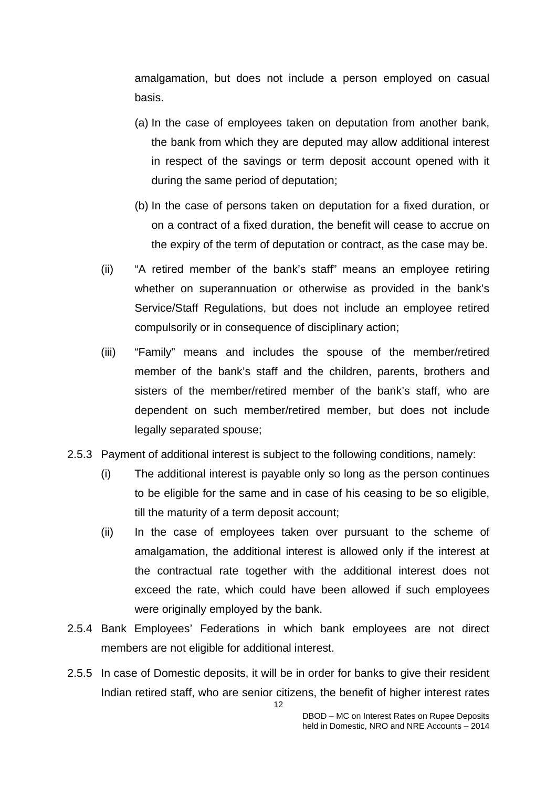amalgamation, but does not include a person employed on casual basis.

- (a) In the case of employees taken on deputation from another bank, the bank from which they are deputed may allow additional interest in respect of the savings or term deposit account opened with it during the same period of deputation;
- (b) In the case of persons taken on deputation for a fixed duration, or on a contract of a fixed duration, the benefit will cease to accrue on the expiry of the term of deputation or contract, as the case may be.
- (ii) "A retired member of the bank's staff" means an employee retiring whether on superannuation or otherwise as provided in the bank's Service/Staff Regulations, but does not include an employee retired compulsorily or in consequence of disciplinary action;
- (iii) "Family" means and includes the spouse of the member/retired member of the bank's staff and the children, parents, brothers and sisters of the member/retired member of the bank's staff, who are dependent on such member/retired member, but does not include legally separated spouse;
- 2.5.3 Payment of additional interest is subject to the following conditions, namely:
	- (i) The additional interest is payable only so long as the person continues to be eligible for the same and in case of his ceasing to be so eligible, till the maturity of a term deposit account;
	- (ii) In the case of employees taken over pursuant to the scheme of amalgamation, the additional interest is allowed only if the interest at the contractual rate together with the additional interest does not exceed the rate, which could have been allowed if such employees were originally employed by the bank.
- 2.5.4 Bank Employees' Federations in which bank employees are not direct members are not eligible for additional interest.
- 2.5.5 In case of Domestic deposits, it will be in order for banks to give their resident Indian retired staff, who are senior citizens, the benefit of higher interest rates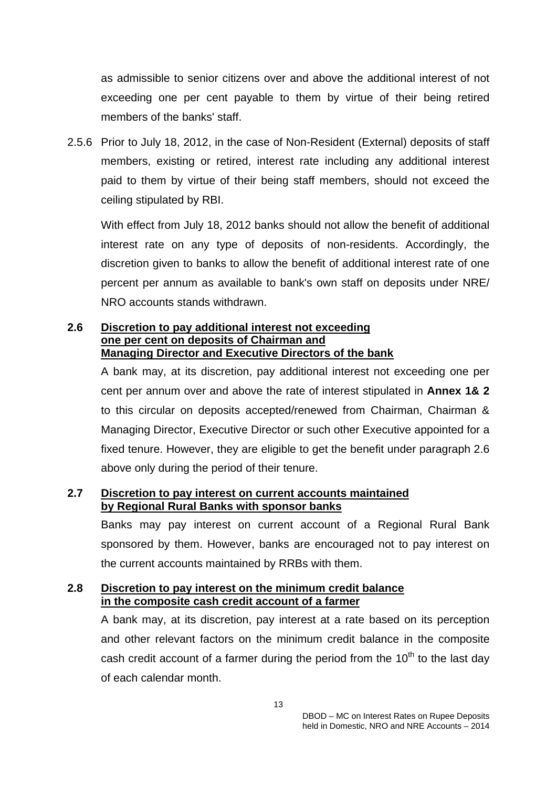as admissible to senior citizens over and above the additional interest of not exceeding one per cent payable to them by virtue of their being retired members of the banks' staff.

2.5.6 Prior to July 18, 2012, in the case of Non-Resident (External) deposits of staff members, existing or retired, interest rate including any additional interest paid to them by virtue of their being staff members, should not exceed the ceiling stipulated by RBI.

With effect from July 18, 2012 banks should not allow the benefit of additional interest rate on any type of deposits of non-residents. Accordingly, the discretion given to banks to allow the benefit of additional interest rate of one percent per annum as available to bank's own staff on deposits under NRE/ NRO accounts stands withdrawn.

### **2.6 Discretion to pay additional interest not exceeding one per cent on deposits of Chairman and Managing Director and Executive Directors of the bank**

A bank may, at its discretion, pay additional interest not exceeding one per cent per annum over and above the rate of interest stipulated in **Annex 1& 2** to this circular on deposits accepted/renewed from Chairman, Chairman & Managing Director, Executive Director or such other Executive appointed for a fixed tenure. However, they are eligible to get the benefit under paragraph 2.6 above only during the period of their tenure.

# **2.7 Discretion to pay interest on current accounts maintained by Regional Rural Banks with sponsor banks**

Banks may pay interest on current account of a Regional Rural Bank sponsored by them. However, banks are encouraged not to pay interest on the current accounts maintained by RRBs with them.

### **2.8 Discretion to pay interest on the minimum credit balance in the composite cash credit account of a farmer**

A bank may, at its discretion, pay interest at a rate based on its perception and other relevant factors on the minimum credit balance in the composite cash credit account of a farmer during the period from the  $10<sup>th</sup>$  to the last day of each calendar month.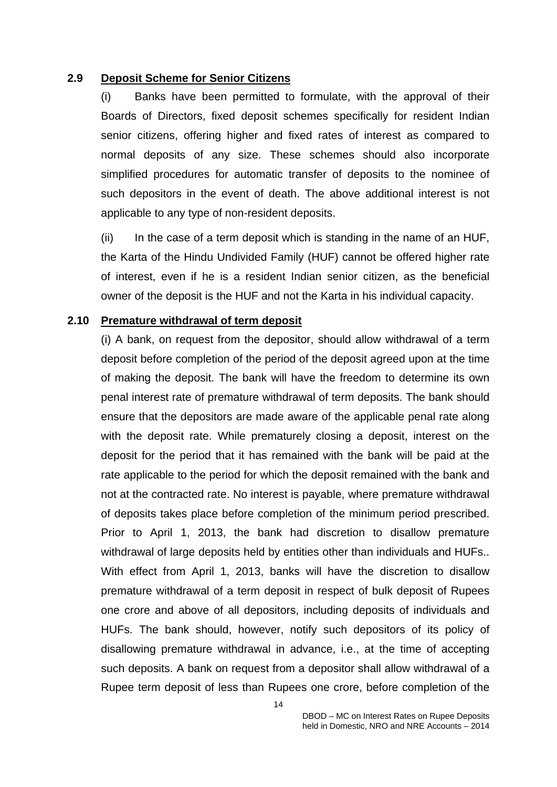#### **2.9 Deposit Scheme for Senior Citizens**

(i) Banks have been permitted to formulate, with the approval of their Boards of Directors, fixed deposit schemes specifically for resident Indian senior citizens, offering higher and fixed rates of interest as compared to normal deposits of any size. These schemes should also incorporate simplified procedures for automatic transfer of deposits to the nominee of such depositors in the event of death. The above additional interest is not applicable to any type of non-resident deposits.

(ii) In the case of a term deposit which is standing in the name of an HUF, the Karta of the Hindu Undivided Family (HUF) cannot be offered higher rate of interest, even if he is a resident Indian senior citizen, as the beneficial owner of the deposit is the HUF and not the Karta in his individual capacity.

#### **2.10 Premature withdrawal of term deposit**

(i) A bank, on request from the depositor, should allow withdrawal of a term deposit before completion of the period of the deposit agreed upon at the time of making the deposit. The bank will have the freedom to determine its own penal interest rate of premature withdrawal of term deposits. The bank should ensure that the depositors are made aware of the applicable penal rate along with the deposit rate. While prematurely closing a deposit, interest on the deposit for the period that it has remained with the bank will be paid at the rate applicable to the period for which the deposit remained with the bank and not at the contracted rate. No interest is payable, where premature withdrawal of deposits takes place before completion of the minimum period prescribed. Prior to April 1, 2013, the bank had discretion to disallow premature withdrawal of large deposits held by entities other than individuals and HUFs.. With effect from April 1, 2013, banks will have the discretion to disallow premature withdrawal of a term deposit in respect of bulk deposit of Rupees one crore and above of all depositors, including deposits of individuals and HUFs. The bank should, however, notify such depositors of its policy of disallowing premature withdrawal in advance, i.e., at the time of accepting such deposits. A bank on request from a depositor shall allow withdrawal of a Rupee term deposit of less than Rupees one crore, before completion of the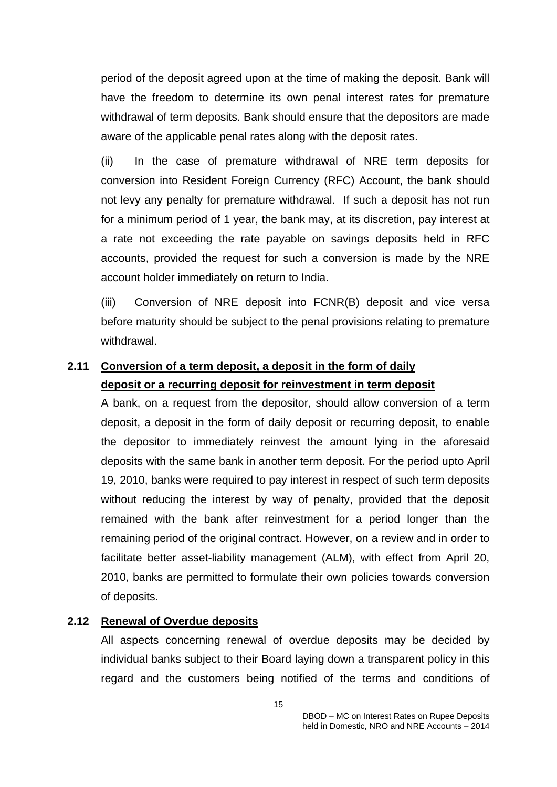period of the deposit agreed upon at the time of making the deposit. Bank will have the freedom to determine its own penal interest rates for premature withdrawal of term deposits. Bank should ensure that the depositors are made aware of the applicable penal rates along with the deposit rates.

(ii) In the case of premature withdrawal of NRE term deposits for conversion into Resident Foreign Currency (RFC) Account, the bank should not levy any penalty for premature withdrawal. If such a deposit has not run for a minimum period of 1 year, the bank may, at its discretion, pay interest at a rate not exceeding the rate payable on savings deposits held in RFC accounts, provided the request for such a conversion is made by the NRE account holder immediately on return to India.

(iii) Conversion of NRE deposit into FCNR(B) deposit and vice versa before maturity should be subject to the penal provisions relating to premature withdrawal.

# **2.11 Conversion of a term deposit, a deposit in the form of daily deposit or a recurring deposit for reinvestment in term deposit**

A bank, on a request from the depositor, should allow conversion of a term deposit, a deposit in the form of daily deposit or recurring deposit, to enable the depositor to immediately reinvest the amount lying in the aforesaid deposits with the same bank in another term deposit. For the period upto April 19, 2010, banks were required to pay interest in respect of such term deposits without reducing the interest by way of penalty, provided that the deposit remained with the bank after reinvestment for a period longer than the remaining period of the original contract. However, on a review and in order to facilitate better asset-liability management (ALM), with effect from April 20, 2010, banks are permitted to formulate their own policies towards conversion of deposits.

### **2.12 Renewal of Overdue deposits**

All aspects concerning renewal of overdue deposits may be decided by individual banks subject to their Board laying down a transparent policy in this regard and the customers being notified of the terms and conditions of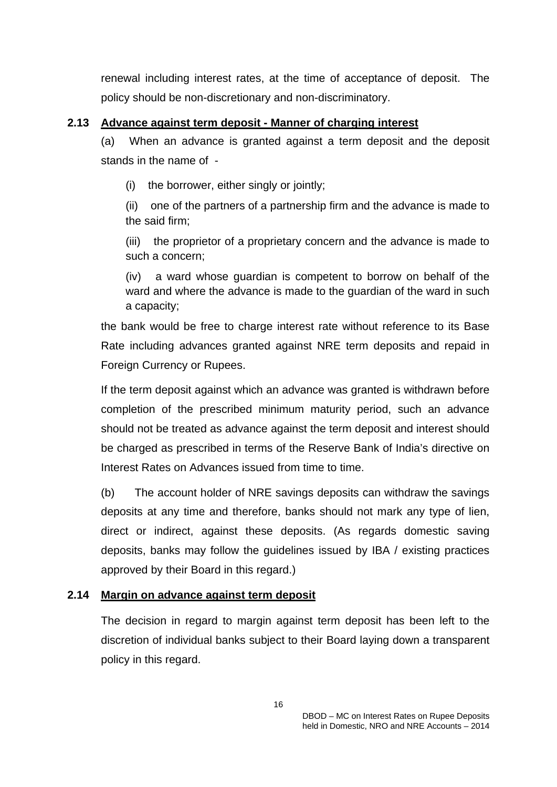renewal including interest rates, at the time of acceptance of deposit. The policy should be non-discretionary and non-discriminatory.

# **2.13 Advance against term deposit - Manner of charging interest**

(a) When an advance is granted against a term deposit and the deposit stands in the name of -

(i) the borrower, either singly or jointly;

(ii) one of the partners of a partnership firm and the advance is made to the said firm;

(iii) the proprietor of a proprietary concern and the advance is made to such a concern;

(iv) a ward whose guardian is competent to borrow on behalf of the ward and where the advance is made to the guardian of the ward in such a capacity;

the bank would be free to charge interest rate without reference to its Base Rate including advances granted against NRE term deposits and repaid in Foreign Currency or Rupees.

If the term deposit against which an advance was granted is withdrawn before completion of the prescribed minimum maturity period, such an advance should not be treated as advance against the term deposit and interest should be charged as prescribed in terms of the Reserve Bank of India's directive on Interest Rates on Advances issued from time to time.

(b) The account holder of NRE savings deposits can withdraw the savings deposits at any time and therefore, banks should not mark any type of lien, direct or indirect, against these deposits. (As regards domestic saving deposits, banks may follow the guidelines issued by IBA / existing practices approved by their Board in this regard.)

# **2.14 Margin on advance against term deposit**

The decision in regard to margin against term deposit has been left to the discretion of individual banks subject to their Board laying down a transparent policy in this regard.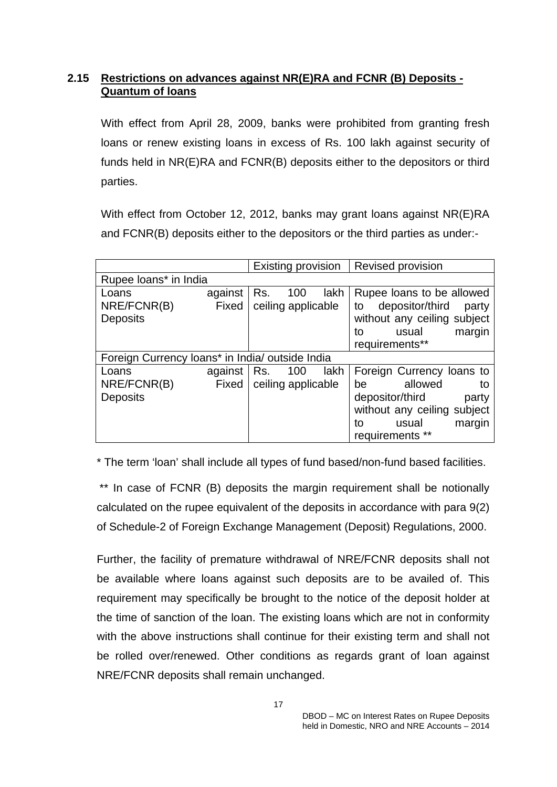# **2.15 Restrictions on advances against NR(E)RA and FCNR (B) Deposits - Quantum of loans**

With effect from April 28, 2009, banks were prohibited from granting fresh loans or renew existing loans in excess of Rs. 100 lakh against security of funds held in NR(E)RA and FCNR(B) deposits either to the depositors or third parties.

With effect from October 12, 2012, banks may grant loans against NR(E)RA and FCNR(B) deposits either to the depositors or the third parties as under:-

|                                                 |                          | Existing provision               | Revised provision                                                                                                                                               |
|-------------------------------------------------|--------------------------|----------------------------------|-----------------------------------------------------------------------------------------------------------------------------------------------------------------|
| Rupee loans* in India                           |                          |                                  |                                                                                                                                                                 |
| Loans<br>NRE/FCNR(B)<br><b>Deposits</b>         | against<br>Fixed         | 100<br>Rs.<br>ceiling applicable | lakh<br>Rupee loans to be allowed<br>depositor/third<br>to<br>party<br>without any ceiling subject<br>margin<br>usual<br>to<br>requirements**                   |
| Foreign Currency loans* in India/ outside India |                          |                                  |                                                                                                                                                                 |
| Loans<br>NRE/FCNR(B)<br><b>Deposits</b>         | against $ $ Rs.<br>Fixed | 100<br>ceiling applicable        | Foreign Currency loans to<br>lakh<br>allowed<br>be<br>to<br>depositor/third<br>party<br>without any ceiling subject<br>usual<br>margin<br>to<br>requirements ** |

\* The term 'loan' shall include all types of fund based/non-fund based facilities.

\*\* In case of FCNR (B) deposits the margin requirement shall be notionally calculated on the rupee equivalent of the deposits in accordance with para 9(2) of Schedule-2 of Foreign Exchange Management (Deposit) Regulations, 2000.

Further, the facility of premature withdrawal of NRE/FCNR deposits shall not be available where loans against such deposits are to be availed of. This requirement may specifically be brought to the notice of the deposit holder at the time of sanction of the loan. The existing loans which are not in conformity with the above instructions shall continue for their existing term and shall not be rolled over/renewed. Other conditions as regards grant of loan against NRE/FCNR deposits shall remain unchanged.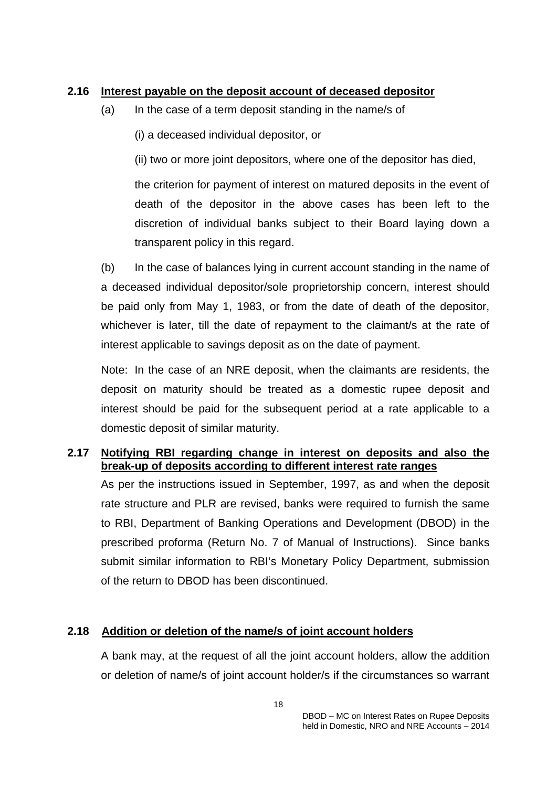### **2.16 Interest payable on the deposit account of deceased depositor**

- (a) In the case of a term deposit standing in the name/s of
	- (i) a deceased individual depositor, or

(ii) two or more joint depositors, where one of the depositor has died,

the criterion for payment of interest on matured deposits in the event of death of the depositor in the above cases has been left to the discretion of individual banks subject to their Board laying down a transparent policy in this regard.

(b) In the case of balances lying in current account standing in the name of a deceased individual depositor/sole proprietorship concern, interest should be paid only from May 1, 1983, or from the date of death of the depositor, whichever is later, till the date of repayment to the claimant/s at the rate of interest applicable to savings deposit as on the date of payment.

Note: In the case of an NRE deposit, when the claimants are residents, the deposit on maturity should be treated as a domestic rupee deposit and interest should be paid for the subsequent period at a rate applicable to a domestic deposit of similar maturity.

# **2.17 Notifying RBI regarding change in interest on deposits and also the break-up of deposits according to different interest rate ranges**

As per the instructions issued in September, 1997, as and when the deposit rate structure and PLR are revised, banks were required to furnish the same to RBI, Department of Banking Operations and Development (DBOD) in the prescribed proforma (Return No. 7 of Manual of Instructions). Since banks submit similar information to RBI's Monetary Policy Department, submission of the return to DBOD has been discontinued.

# **2.18 Addition or deletion of the name/s of joint account holders**

A bank may, at the request of all the joint account holders, allow the addition or deletion of name/s of joint account holder/s if the circumstances so warrant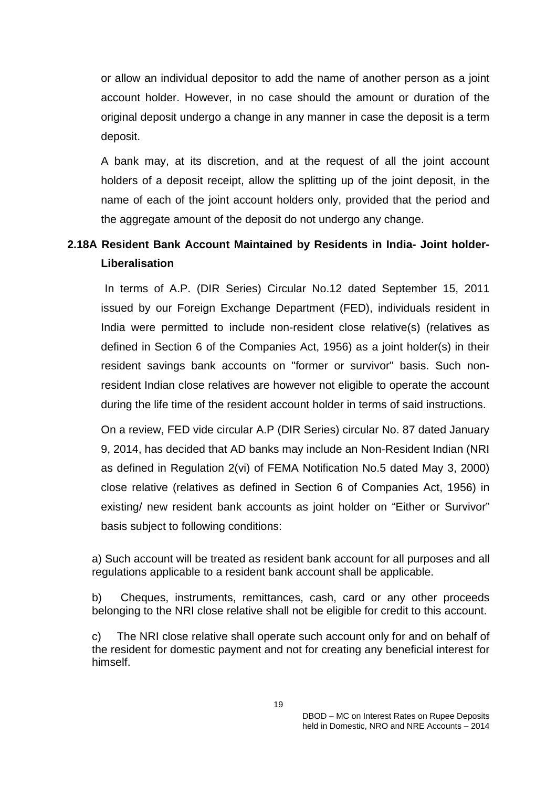or allow an individual depositor to add the name of another person as a joint account holder. However, in no case should the amount or duration of the original deposit undergo a change in any manner in case the deposit is a term deposit.

A bank may, at its discretion, and at the request of all the joint account holders of a deposit receipt, allow the splitting up of the joint deposit, in the name of each of the joint account holders only, provided that the period and the aggregate amount of the deposit do not undergo any change.

# **2.18A Resident Bank Account Maintained by Residents in India- Joint holder-Liberalisation**

 In terms of A.P. (DIR Series) Circular No.12 dated September 15, 2011 issued by our Foreign Exchange Department (FED), individuals resident in India were permitted to include non-resident close relative(s) (relatives as defined in Section 6 of the Companies Act, 1956) as a joint holder(s) in their resident savings bank accounts on "former or survivor" basis. Such nonresident Indian close relatives are however not eligible to operate the account during the life time of the resident account holder in terms of said instructions.

On a review, FED vide circular A.P (DIR Series) circular No. 87 dated January 9, 2014, has decided that AD banks may include an Non-Resident Indian (NRI as defined in Regulation 2(vi) of FEMA Notification No.5 dated May 3, 2000) close relative (relatives as defined in Section 6 of Companies Act, 1956) in existing/ new resident bank accounts as joint holder on "Either or Survivor" basis subject to following conditions:

a) Such account will be treated as resident bank account for all purposes and all regulations applicable to a resident bank account shall be applicable.

b) Cheques, instruments, remittances, cash, card or any other proceeds belonging to the NRI close relative shall not be eligible for credit to this account.

c) The NRI close relative shall operate such account only for and on behalf of the resident for domestic payment and not for creating any beneficial interest for himself.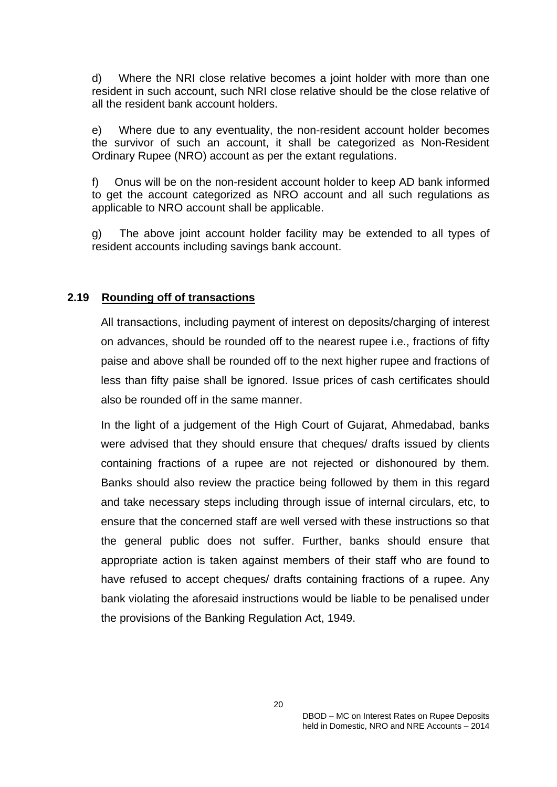d) Where the NRI close relative becomes a joint holder with more than one resident in such account, such NRI close relative should be the close relative of all the resident bank account holders.

e) Where due to any eventuality, the non-resident account holder becomes the survivor of such an account, it shall be categorized as Non-Resident Ordinary Rupee (NRO) account as per the extant regulations.

f) Onus will be on the non-resident account holder to keep AD bank informed to get the account categorized as NRO account and all such regulations as applicable to NRO account shall be applicable.

g) The above joint account holder facility may be extended to all types of resident accounts including savings bank account.

#### **2.19 Rounding off of transactions**

All transactions, including payment of interest on deposits/charging of interest on advances, should be rounded off to the nearest rupee i.e., fractions of fifty paise and above shall be rounded off to the next higher rupee and fractions of less than fifty paise shall be ignored. Issue prices of cash certificates should also be rounded off in the same manner.

In the light of a judgement of the High Court of Gujarat, Ahmedabad, banks were advised that they should ensure that cheques/ drafts issued by clients containing fractions of a rupee are not rejected or dishonoured by them. Banks should also review the practice being followed by them in this regard and take necessary steps including through issue of internal circulars, etc, to ensure that the concerned staff are well versed with these instructions so that the general public does not suffer. Further, banks should ensure that appropriate action is taken against members of their staff who are found to have refused to accept cheques/ drafts containing fractions of a rupee. Any bank violating the aforesaid instructions would be liable to be penalised under the provisions of the Banking Regulation Act, 1949.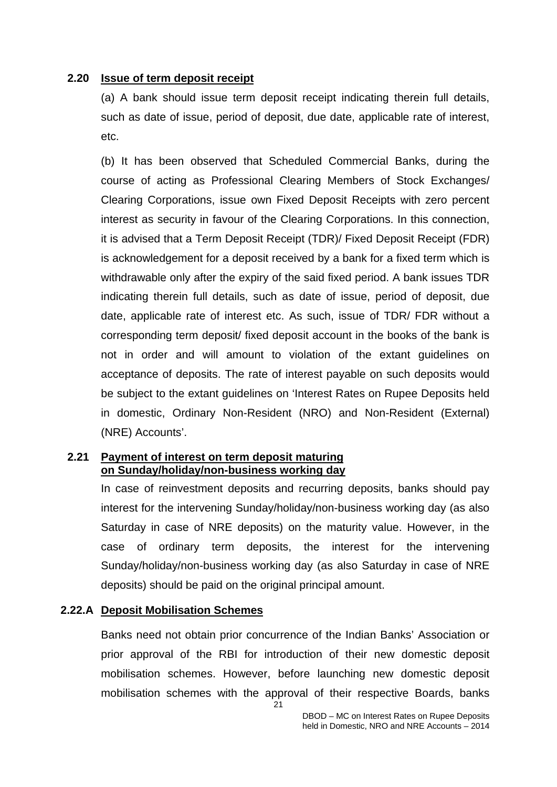#### **2.20 Issue of term deposit receipt**

(a) A bank should issue term deposit receipt indicating therein full details, such as date of issue, period of deposit, due date, applicable rate of interest, etc.

(b) It has been observed that Scheduled Commercial Banks, during the course of acting as Professional Clearing Members of Stock Exchanges/ Clearing Corporations, issue own Fixed Deposit Receipts with zero percent interest as security in favour of the Clearing Corporations. In this connection, it is advised that a Term Deposit Receipt (TDR)/ Fixed Deposit Receipt (FDR) is acknowledgement for a deposit received by a bank for a fixed term which is withdrawable only after the expiry of the said fixed period. A bank issues TDR indicating therein full details, such as date of issue, period of deposit, due date, applicable rate of interest etc. As such, issue of TDR/ FDR without a corresponding term deposit/ fixed deposit account in the books of the bank is not in order and will amount to violation of the extant guidelines on acceptance of deposits. The rate of interest payable on such deposits would be subject to the extant guidelines on 'Interest Rates on Rupee Deposits held in domestic, Ordinary Non-Resident (NRO) and Non-Resident (External) (NRE) Accounts'.

#### **2.21 Payment of interest on term deposit maturing on Sunday/holiday/non-business working day**

In case of reinvestment deposits and recurring deposits, banks should pay interest for the intervening Sunday/holiday/non-business working day (as also Saturday in case of NRE deposits) on the maturity value. However, in the case of ordinary term deposits, the interest for the intervening Sunday/holiday/non-business working day (as also Saturday in case of NRE deposits) should be paid on the original principal amount.

### **2.22.A Deposit Mobilisation Schemes**

21 Banks need not obtain prior concurrence of the Indian Banks' Association or prior approval of the RBI for introduction of their new domestic deposit mobilisation schemes. However, before launching new domestic deposit mobilisation schemes with the approval of their respective Boards, banks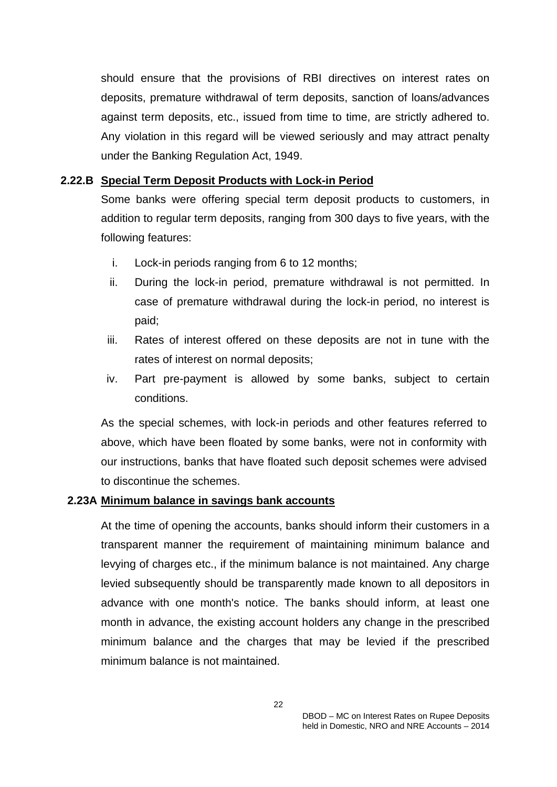should ensure that the provisions of RBI directives on interest rates on deposits, premature withdrawal of term deposits, sanction of loans/advances against term deposits, etc., issued from time to time, are strictly adhered to. Any violation in this regard will be viewed seriously and may attract penalty under the Banking Regulation Act, 1949.

#### **2.22.B Special Term Deposit Products with Lock-in Period**

Some banks were offering special term deposit products to customers, in addition to regular term deposits, ranging from 300 days to five years, with the following features:

- i. Lock-in periods ranging from 6 to 12 months;
- ii. During the lock-in period, premature withdrawal is not permitted. In case of premature withdrawal during the lock-in period, no interest is paid;
- iii. Rates of interest offered on these deposits are not in tune with the rates of interest on normal deposits;
- iv. Part pre-payment is allowed by some banks, subject to certain conditions.

As the special schemes, with lock-in periods and other features referred to above, which have been floated by some banks, were not in conformity with our instructions, banks that have floated such deposit schemes were advised to discontinue the schemes.

#### **2.23A Minimum balance in savings bank accounts**

At the time of opening the accounts, banks should inform their customers in a transparent manner the requirement of maintaining minimum balance and levying of charges etc., if the minimum balance is not maintained. Any charge levied subsequently should be transparently made known to all depositors in advance with one month's notice. The banks should inform, at least one month in advance, the existing account holders any change in the prescribed minimum balance and the charges that may be levied if the prescribed minimum balance is not maintained.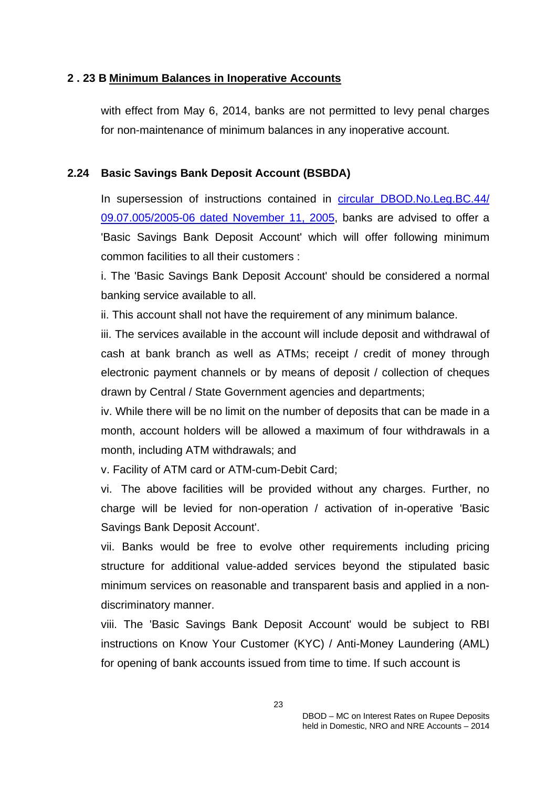### **2 . 23 B Minimum Balances in Inoperative Accounts**

with effect from May 6, 2014, banks are not permitted to levy penal charges for non-maintenance of minimum balances in any inoperative account.

### **2.24 Basic Savings Bank Deposit Account (BSBDA)**

In supersession of instructions contained in [circular DBOD.No.Leg.BC.44/](http://www.rbi.org.in/scripts/NotificationUser.aspx?Id=2615&Mode=0) [09.07.005/2005-06 dated November 11, 2005,](http://www.rbi.org.in/scripts/NotificationUser.aspx?Id=2615&Mode=0) banks are advised to offer a 'Basic Savings Bank Deposit Account' which will offer following minimum common facilities to all their customers :

i. The 'Basic Savings Bank Deposit Account' should be considered a normal banking service available to all.

ii. This account shall not have the requirement of any minimum balance.

iii. The services available in the account will include deposit and withdrawal of cash at bank branch as well as ATMs; receipt / credit of money through electronic payment channels or by means of deposit / collection of cheques drawn by Central / State Government agencies and departments;

iv. While there will be no limit on the number of deposits that can be made in a month, account holders will be allowed a maximum of four withdrawals in a month, including ATM withdrawals; and

v. Facility of ATM card or ATM-cum-Debit Card;

vi. The above facilities will be provided without any charges. Further, no charge will be levied for non-operation / activation of in-operative 'Basic Savings Bank Deposit Account'.

vii. Banks would be free to evolve other requirements including pricing structure for additional value-added services beyond the stipulated basic minimum services on reasonable and transparent basis and applied in a nondiscriminatory manner.

viii. The 'Basic Savings Bank Deposit Account' would be subject to RBI instructions on Know Your Customer (KYC) / Anti-Money Laundering (AML) for opening of bank accounts issued from time to time. If such account is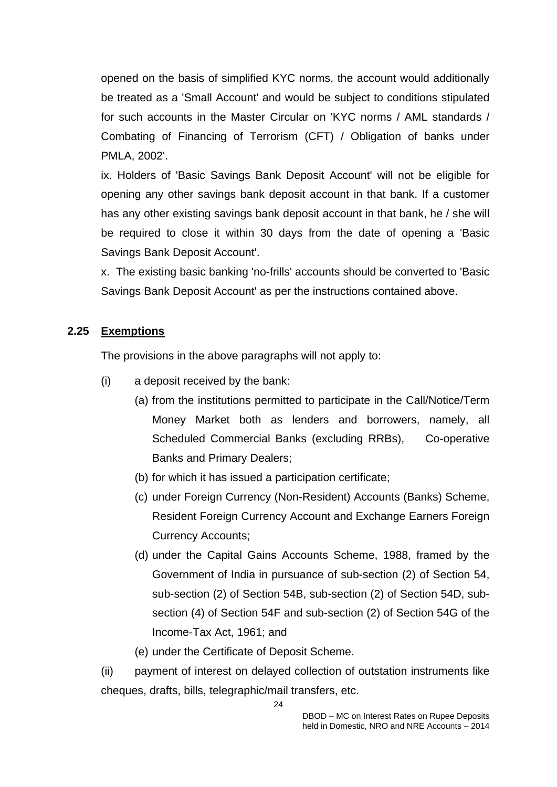opened on the basis of simplified KYC norms, the account would additionally be treated as a 'Small Account' and would be subject to conditions stipulated for such accounts in the Master Circular on 'KYC norms / AML standards / Combating of Financing of Terrorism (CFT) / Obligation of banks under PMLA, 2002'.

ix. Holders of 'Basic Savings Bank Deposit Account' will not be eligible for opening any other savings bank deposit account in that bank. If a customer has any other existing savings bank deposit account in that bank, he / she will be required to close it within 30 days from the date of opening a 'Basic Savings Bank Deposit Account'.

x. The existing basic banking 'no-frills' accounts should be converted to 'Basic Savings Bank Deposit Account' as per the instructions contained above.

# **2.25 Exemptions**

The provisions in the above paragraphs will not apply to:

- (i) a deposit received by the bank:
	- (a) from the institutions permitted to participate in the Call/Notice/Term Money Market both as lenders and borrowers, namely, all Scheduled Commercial Banks (excluding RRBs), Co-operative Banks and Primary Dealers;
	- (b) for which it has issued a participation certificate;
	- (c) under Foreign Currency (Non-Resident) Accounts (Banks) Scheme, Resident Foreign Currency Account and Exchange Earners Foreign Currency Accounts;
	- (d) under the Capital Gains Accounts Scheme, 1988, framed by the Government of India in pursuance of sub-section (2) of Section 54, sub-section (2) of Section 54B, sub-section (2) of Section 54D, subsection (4) of Section 54F and sub-section (2) of Section 54G of the Income-Tax Act, 1961; and
	- (e) under the Certificate of Deposit Scheme.

(ii) payment of interest on delayed collection of outstation instruments like cheques, drafts, bills, telegraphic/mail transfers, etc.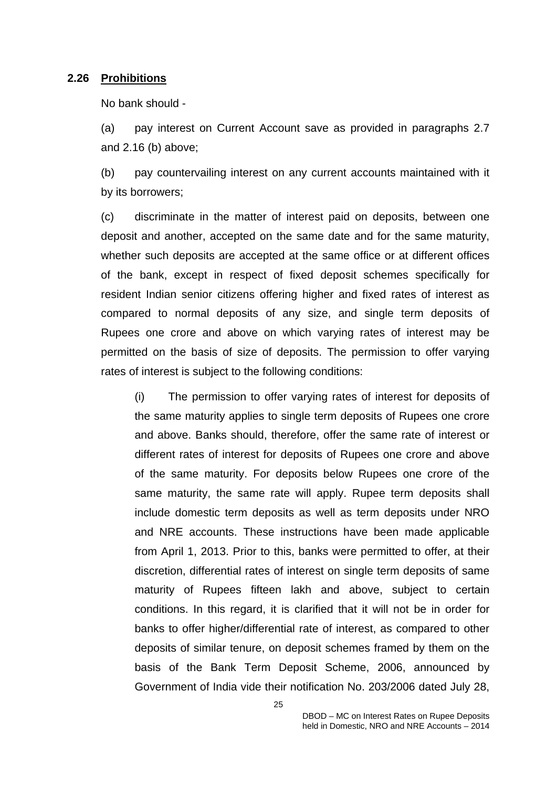#### **2.26 Prohibitions**

No bank should -

(a) pay interest on Current Account save as provided in paragraphs 2.7 and 2.16 (b) above;

(b) pay countervailing interest on any current accounts maintained with it by its borrowers;

(c) discriminate in the matter of interest paid on deposits, between one deposit and another, accepted on the same date and for the same maturity, whether such deposits are accepted at the same office or at different offices of the bank, except in respect of fixed deposit schemes specifically for resident Indian senior citizens offering higher and fixed rates of interest as compared to normal deposits of any size, and single term deposits of Rupees one crore and above on which varying rates of interest may be permitted on the basis of size of deposits. The permission to offer varying rates of interest is subject to the following conditions:

(i) The permission to offer varying rates of interest for deposits of the same maturity applies to single term deposits of Rupees one crore and above. Banks should, therefore, offer the same rate of interest or different rates of interest for deposits of Rupees one crore and above of the same maturity. For deposits below Rupees one crore of the same maturity, the same rate will apply. Rupee term deposits shall include domestic term deposits as well as term deposits under NRO and NRE accounts. These instructions have been made applicable from April 1, 2013. Prior to this, banks were permitted to offer, at their discretion, differential rates of interest on single term deposits of same maturity of Rupees fifteen lakh and above, subject to certain conditions. In this regard, it is clarified that it will not be in order for banks to offer higher/differential rate of interest, as compared to other deposits of similar tenure, on deposit schemes framed by them on the basis of the Bank Term Deposit Scheme, 2006, announced by Government of India vide their notification No. 203/2006 dated July 28,

25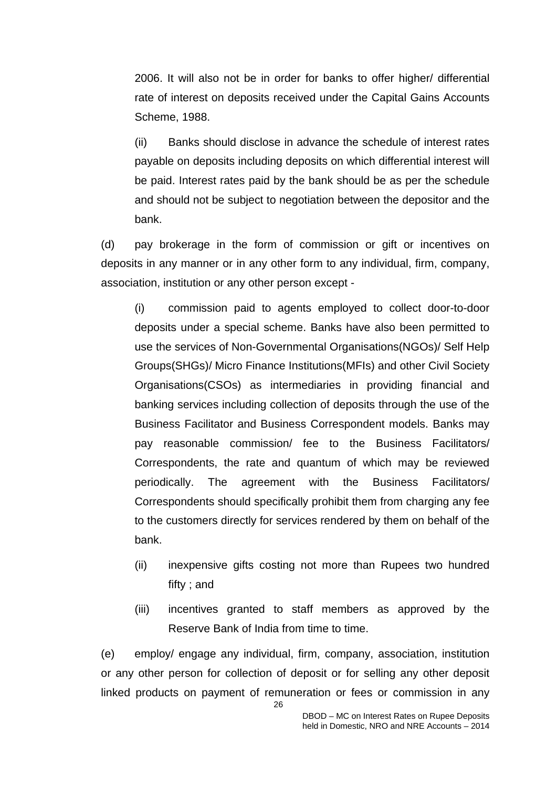2006. It will also not be in order for banks to offer higher/ differential rate of interest on deposits received under the Capital Gains Accounts Scheme, 1988.

(ii) Banks should disclose in advance the schedule of interest rates payable on deposits including deposits on which differential interest will be paid. Interest rates paid by the bank should be as per the schedule and should not be subject to negotiation between the depositor and the bank.

(d) pay brokerage in the form of commission or gift or incentives on deposits in any manner or in any other form to any individual, firm, company, association, institution or any other person except -

(i) commission paid to agents employed to collect door-to-door deposits under a special scheme. Banks have also been permitted to use the services of Non-Governmental Organisations(NGOs)/ Self Help Groups(SHGs)/ Micro Finance Institutions(MFIs) and other Civil Society Organisations(CSOs) as intermediaries in providing financial and banking services including collection of deposits through the use of the Business Facilitator and Business Correspondent models. Banks may pay reasonable commission/ fee to the Business Facilitators/ Correspondents, the rate and quantum of which may be reviewed periodically. The agreement with the Business Facilitators/ Correspondents should specifically prohibit them from charging any fee to the customers directly for services rendered by them on behalf of the bank.

- (ii) inexpensive gifts costing not more than Rupees two hundred fifty ; and
- (iii) incentives granted to staff members as approved by the Reserve Bank of India from time to time.

(e) employ/ engage any individual, firm, company, association, institution or any other person for collection of deposit or for selling any other deposit linked products on payment of remuneration or fees or commission in any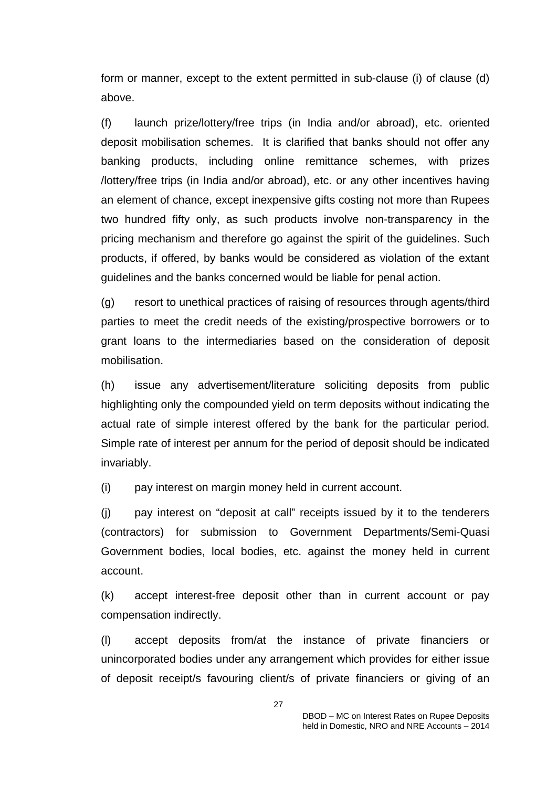form or manner, except to the extent permitted in sub-clause (i) of clause (d) above.

(f) launch prize/lottery/free trips (in India and/or abroad), etc. oriented deposit mobilisation schemes. It is clarified that banks should not offer any banking products, including online remittance schemes, with prizes /lottery/free trips (in India and/or abroad), etc. or any other incentives having an element of chance, except inexpensive gifts costing not more than Rupees two hundred fifty only, as such products involve non-transparency in the pricing mechanism and therefore go against the spirit of the guidelines. Such products, if offered, by banks would be considered as violation of the extant guidelines and the banks concerned would be liable for penal action.

(g) resort to unethical practices of raising of resources through agents/third parties to meet the credit needs of the existing/prospective borrowers or to grant loans to the intermediaries based on the consideration of deposit mobilisation.

(h) issue any advertisement/literature soliciting deposits from public highlighting only the compounded yield on term deposits without indicating the actual rate of simple interest offered by the bank for the particular period. Simple rate of interest per annum for the period of deposit should be indicated invariably.

(i) pay interest on margin money held in current account.

(j) pay interest on "deposit at call" receipts issued by it to the tenderers (contractors) for submission to Government Departments/Semi-Quasi Government bodies, local bodies, etc. against the money held in current account.

(k) accept interest-free deposit other than in current account or pay compensation indirectly.

(l) accept deposits from/at the instance of private financiers or unincorporated bodies under any arrangement which provides for either issue of deposit receipt/s favouring client/s of private financiers or giving of an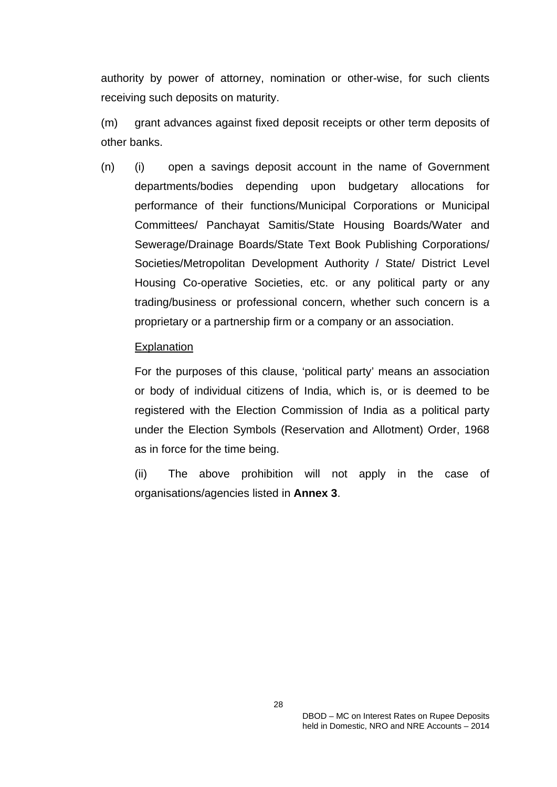authority by power of attorney, nomination or other-wise, for such clients receiving such deposits on maturity.

(m) grant advances against fixed deposit receipts or other term deposits of other banks.

(n) (i) open a savings deposit account in the name of Government departments/bodies depending upon budgetary allocations for performance of their functions/Municipal Corporations or Municipal Committees/ Panchayat Samitis/State Housing Boards/Water and Sewerage/Drainage Boards/State Text Book Publishing Corporations/ Societies/Metropolitan Development Authority / State/ District Level Housing Co-operative Societies, etc. or any political party or any trading/business or professional concern, whether such concern is a proprietary or a partnership firm or a company or an association.

#### **Explanation**

For the purposes of this clause, 'political party' means an association or body of individual citizens of India, which is, or is deemed to be registered with the Election Commission of India as a political party under the Election Symbols (Reservation and Allotment) Order, 1968 as in force for the time being.

(ii) The above prohibition will not apply in the case of organisations/agencies listed in **Annex 3**.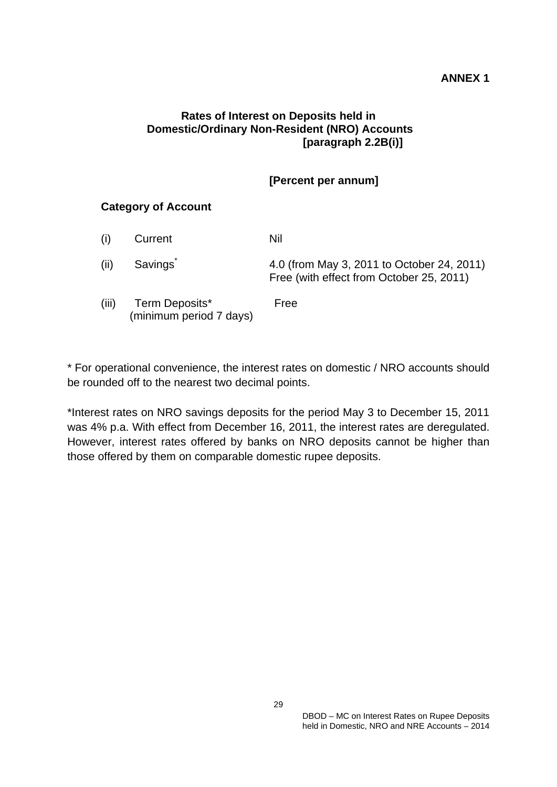### **ANNEX 1**

### **Rates of Interest on Deposits held in Domestic/Ordinary Non-Resident (NRO) Accounts [paragraph 2.2B(i)]**

# **[Percent per annum]**

### **Category of Account**

|       | Current                                   | Nil                                                                                    |
|-------|-------------------------------------------|----------------------------------------------------------------------------------------|
| (ii)  | <b>Savings</b>                            | 4.0 (from May 3, 2011 to October 24, 2011)<br>Free (with effect from October 25, 2011) |
| (iii) | Term Deposits*<br>(minimum period 7 days) | Free                                                                                   |

\* For operational convenience, the interest rates on domestic / NRO accounts should be rounded off to the nearest two decimal points.

\*Interest rates on NRO savings deposits for the period May 3 to December 15, 2011 was 4% p.a. With effect from December 16, 2011, the interest rates are deregulated. However, interest rates offered by banks on NRO deposits cannot be higher than those offered by them on comparable domestic rupee deposits.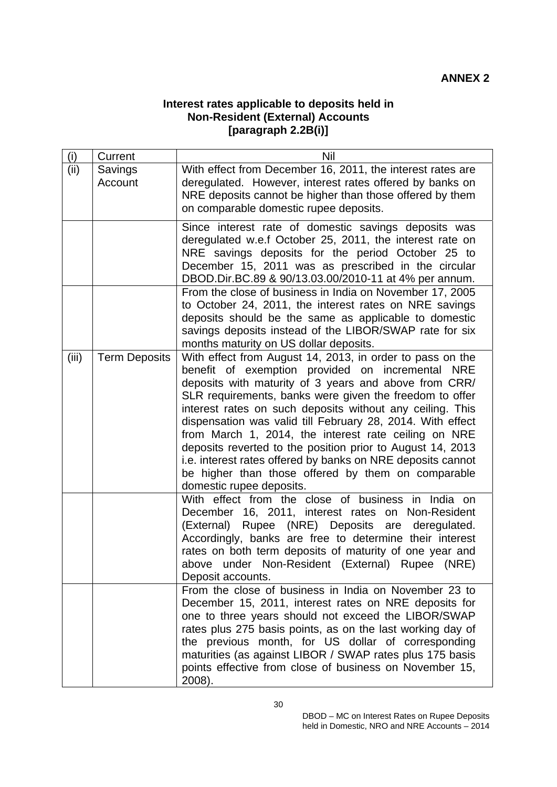### **Interest rates applicable to deposits held in Non-Resident (External) Accounts [paragraph 2.2B(i)]**

| (i)   | Current              | Nil                                                                                                                                                                                                                                                                                                                                                                                                                                                                                                                                                                                                                                 |  |
|-------|----------------------|-------------------------------------------------------------------------------------------------------------------------------------------------------------------------------------------------------------------------------------------------------------------------------------------------------------------------------------------------------------------------------------------------------------------------------------------------------------------------------------------------------------------------------------------------------------------------------------------------------------------------------------|--|
| (ii)  | Savings<br>Account   | With effect from December 16, 2011, the interest rates are<br>deregulated. However, interest rates offered by banks on<br>NRE deposits cannot be higher than those offered by them<br>on comparable domestic rupee deposits.                                                                                                                                                                                                                                                                                                                                                                                                        |  |
|       |                      | Since interest rate of domestic savings deposits was<br>deregulated w.e.f October 25, 2011, the interest rate on<br>NRE savings deposits for the period October 25 to<br>December 15, 2011 was as prescribed in the circular<br>DBOD.Dir.BC.89 & 90/13.03.00/2010-11 at 4% per annum.<br>From the close of business in India on November 17, 2005<br>to October 24, 2011, the interest rates on NRE savings                                                                                                                                                                                                                         |  |
|       |                      | deposits should be the same as applicable to domestic<br>savings deposits instead of the LIBOR/SWAP rate for six<br>months maturity on US dollar deposits.                                                                                                                                                                                                                                                                                                                                                                                                                                                                          |  |
| (iii) | <b>Term Deposits</b> | With effect from August 14, 2013, in order to pass on the<br>benefit of exemption provided on incremental NRE<br>deposits with maturity of 3 years and above from CRR/<br>SLR requirements, banks were given the freedom to offer<br>interest rates on such deposits without any ceiling. This<br>dispensation was valid till February 28, 2014. With effect<br>from March 1, 2014, the interest rate ceiling on NRE<br>deposits reverted to the position prior to August 14, 2013<br>i.e. interest rates offered by banks on NRE deposits cannot<br>be higher than those offered by them on comparable<br>domestic rupee deposits. |  |
|       |                      | With effect from the close of business in India on<br>December 16, 2011, interest rates on Non-Resident<br>(External) Rupee (NRE) Deposits are deregulated.<br>Accordingly, banks are free to determine their interest<br>rates on both term deposits of maturity of one year and<br>above under Non-Resident (External) Rupee (NRE)<br>Deposit accounts.                                                                                                                                                                                                                                                                           |  |
|       |                      | From the close of business in India on November 23 to<br>December 15, 2011, interest rates on NRE deposits for<br>one to three years should not exceed the LIBOR/SWAP<br>rates plus 275 basis points, as on the last working day of<br>the previous month, for US dollar of corresponding<br>maturities (as against LIBOR / SWAP rates plus 175 basis<br>points effective from close of business on November 15,<br>2008).                                                                                                                                                                                                          |  |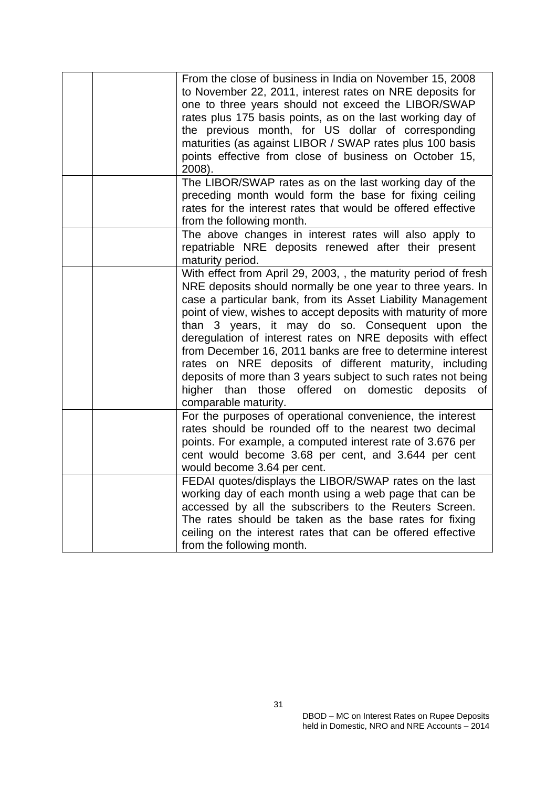|  | From the close of business in India on November 15, 2008<br>to November 22, 2011, interest rates on NRE deposits for<br>one to three years should not exceed the LIBOR/SWAP<br>rates plus 175 basis points, as on the last working day of<br>the previous month, for US dollar of corresponding<br>maturities (as against LIBOR / SWAP rates plus 100 basis<br>points effective from close of business on October 15,<br>2008).                                                                                                                                                                                                                            |
|--|------------------------------------------------------------------------------------------------------------------------------------------------------------------------------------------------------------------------------------------------------------------------------------------------------------------------------------------------------------------------------------------------------------------------------------------------------------------------------------------------------------------------------------------------------------------------------------------------------------------------------------------------------------|
|  | The LIBOR/SWAP rates as on the last working day of the<br>preceding month would form the base for fixing ceiling<br>rates for the interest rates that would be offered effective<br>from the following month.                                                                                                                                                                                                                                                                                                                                                                                                                                              |
|  | The above changes in interest rates will also apply to<br>repatriable NRE deposits renewed after their present<br>maturity period.                                                                                                                                                                                                                                                                                                                                                                                                                                                                                                                         |
|  | With effect from April 29, 2003, , the maturity period of fresh<br>NRE deposits should normally be one year to three years. In<br>case a particular bank, from its Asset Liability Management<br>point of view, wishes to accept deposits with maturity of more<br>than 3 years, it may do so. Consequent upon the<br>deregulation of interest rates on NRE deposits with effect<br>from December 16, 2011 banks are free to determine interest<br>rates on NRE deposits of different maturity, including<br>deposits of more than 3 years subject to such rates not being<br>those offered on domestic deposits of<br>higher than<br>comparable maturity. |
|  | For the purposes of operational convenience, the interest<br>rates should be rounded off to the nearest two decimal<br>points. For example, a computed interest rate of 3.676 per<br>cent would become 3.68 per cent, and 3.644 per cent<br>would become 3.64 per cent.                                                                                                                                                                                                                                                                                                                                                                                    |
|  | FEDAI quotes/displays the LIBOR/SWAP rates on the last<br>working day of each month using a web page that can be<br>accessed by all the subscribers to the Reuters Screen.<br>The rates should be taken as the base rates for fixing<br>ceiling on the interest rates that can be offered effective<br>from the following month.                                                                                                                                                                                                                                                                                                                           |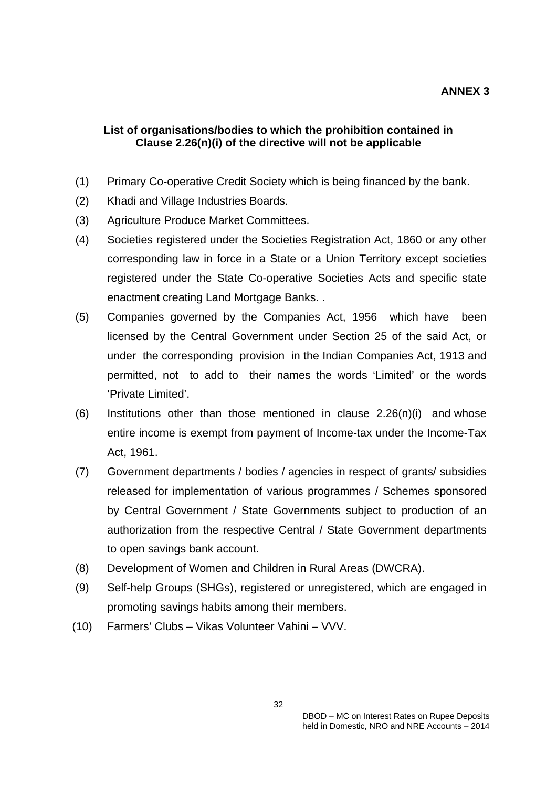### **List of organisations/bodies to which the prohibition contained in Clause 2.26(n)(i) of the directive will not be applicable**

- (1) Primary Co-operative Credit Society which is being financed by the bank.
- (2) Khadi and Village Industries Boards.
- (3) Agriculture Produce Market Committees.
- (4) Societies registered under the Societies Registration Act, 1860 or any other corresponding law in force in a State or a Union Territory except societies registered under the State Co-operative Societies Acts and specific state enactment creating Land Mortgage Banks. .
- (5) Companies governed by the Companies Act, 1956 which have been licensed by the Central Government under Section 25 of the said Act, or under the corresponding provision in the Indian Companies Act, 1913 and permitted, not to add to their names the words 'Limited' or the words 'Private Limited'.
- $(6)$  Institutions other than those mentioned in clause 2.26(n)(i) and whose entire income is exempt from payment of Income-tax under the Income-Tax Act, 1961.
- (7) Government departments / bodies / agencies in respect of grants/ subsidies released for implementation of various programmes / Schemes sponsored by Central Government / State Governments subject to production of an authorization from the respective Central / State Government departments to open savings bank account.
- (8) Development of Women and Children in Rural Areas (DWCRA).
- (9) Self-help Groups (SHGs), registered or unregistered, which are engaged in promoting savings habits among their members.
- (10) Farmers' Clubs Vikas Volunteer Vahini VVV.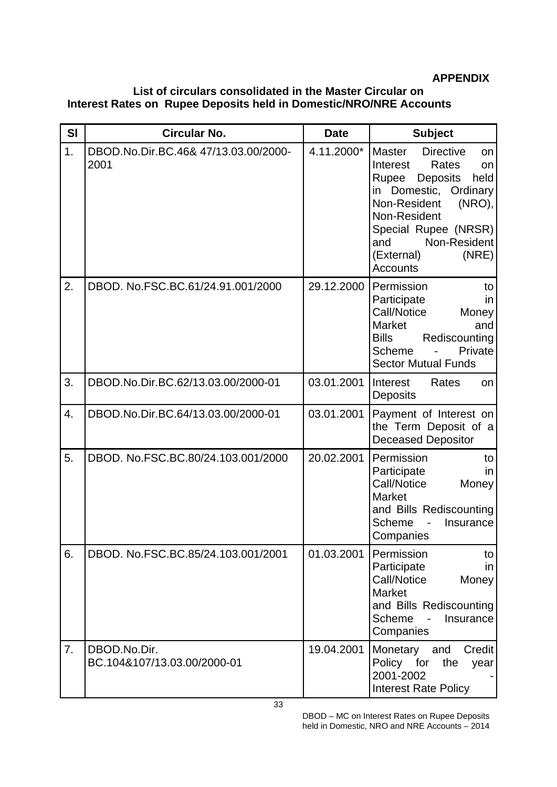### **APPENDIX**

### **List of circulars consolidated in the Master Circular on Interest Rates on Rupee Deposits held in Domestic/NRO/NRE Accounts**

| <b>SI</b>        | <b>Circular No.</b>                          | <b>Date</b> | <b>Subject</b>                                                                                                                                                                                                                                                     |
|------------------|----------------------------------------------|-------------|--------------------------------------------------------------------------------------------------------------------------------------------------------------------------------------------------------------------------------------------------------------------|
| $\overline{1}$ . | DBOD.No.Dir.BC.46& 47/13.03.00/2000-<br>2001 | 4.11.2000*  | <b>Directive</b><br><b>Master</b><br>on<br>Interest<br>Rates<br>on<br>Rupee<br><b>Deposits</b><br>held<br>in Domestic, Ordinary<br>Non-Resident<br>(NRO),<br>Non-Resident<br>Special Rupee (NRSR)<br>Non-Resident<br>and<br>(External)<br>(NRE)<br><b>Accounts</b> |
| 2.               | DBOD. No.FSC.BC.61/24.91.001/2000            | 29.12.2000  | Permission<br>to<br>Participate<br>in<br>Call/Notice<br>Money<br>Market<br>and<br><b>Bills</b><br>Rediscounting<br>Scheme<br>Private<br><b>Sector Mutual Funds</b>                                                                                                 |
| 3.               | DBOD.No.Dir.BC.62/13.03.00/2000-01           | 03.01.2001  | Interest<br>Rates<br>on<br><b>Deposits</b>                                                                                                                                                                                                                         |
| 4.               | DBOD.No.Dir.BC.64/13.03.00/2000-01           | 03.01.2001  | Payment of Interest on<br>the Term Deposit of a<br><b>Deceased Depositor</b>                                                                                                                                                                                       |
| 5.               | DBOD. No.FSC.BC.80/24.103.001/2000           | 20.02.2001  | Permission<br>to<br>Participate<br>in<br>Call/Notice<br>Money<br>Market<br>and Bills Rediscounting<br>Scheme<br>Insurance<br>Companies                                                                                                                             |
| 6.               | DBOD. No.FSC.BC.85/24.103.001/2001           | 01.03.2001  | Permission<br>to<br>Participate<br>in<br>Call/Notice<br>Money<br><b>Market</b><br>and Bills Rediscounting<br>Scheme<br>Insurance<br>Companies                                                                                                                      |
| 7.               | DBOD.No.Dir.<br>BC.104&107/13.03.00/2000-01  | 19.04.2001  | Monetary<br>and<br>Credit<br>Policy for<br>the<br>year<br>2001-2002<br><b>Interest Rate Policy</b>                                                                                                                                                                 |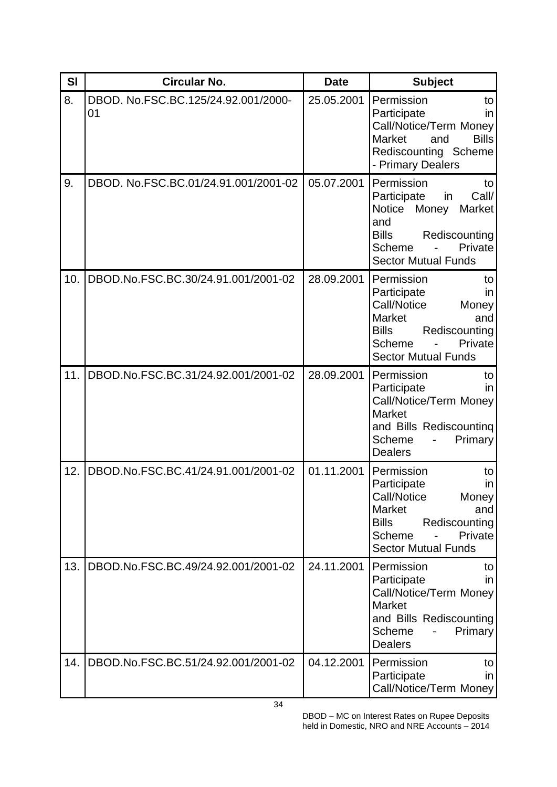| SI  | Circular No.                              | <b>Date</b> | <b>Subject</b>                                                                                                                                                                |
|-----|-------------------------------------------|-------------|-------------------------------------------------------------------------------------------------------------------------------------------------------------------------------|
| 8.  | DBOD. No.FSC.BC.125/24.92.001/2000-<br>01 | 25.05.2001  | Permission<br>to<br>Participate<br>in<br>Call/Notice/Term Money<br><b>Bills</b><br><b>Market</b><br>and<br>Rediscounting Scheme<br>- Primary Dealers                          |
| 9.  | DBOD. No.FSC.BC.01/24.91.001/2001-02      | 05.07.2001  | Permission<br>to<br>Participate<br>Call/<br>in<br><b>Notice</b><br>Market<br>Money<br>and<br><b>Bills</b><br>Rediscounting<br>Private<br>Scheme<br><b>Sector Mutual Funds</b> |
| 10. | DBOD.No.FSC.BC.30/24.91.001/2001-02       | 28.09.2001  | Permission<br>to<br>Participate<br>in<br>Call/Notice<br>Money<br><b>Market</b><br>and<br><b>Bills</b><br>Rediscounting<br>Scheme<br>Private<br><b>Sector Mutual Funds</b>     |
| 11. | DBOD.No.FSC.BC.31/24.92.001/2001-02       | 28.09.2001  | Permission<br>to<br>Participate<br>in<br>Call/Notice/Term Money<br><b>Market</b><br>and Bills Rediscounting<br>Scheme<br>Primary<br><b>Dealers</b>                            |
| 12. | DBOD.No.FSC.BC.41/24.91.001/2001-02       | 01.11.2001  | Permission<br>to<br>Participate<br>in<br>Call/Notice<br>Money<br><b>Market</b><br>and<br><b>Bills</b><br>Rediscounting<br>Scheme<br>Private<br><b>Sector Mutual Funds</b>     |
| 13. | DBOD.No.FSC.BC.49/24.92.001/2001-02       | 24.11.2001  | Permission<br>to<br>Participate<br>in<br>Call/Notice/Term Money<br><b>Market</b><br>and Bills Rediscounting<br>Scheme<br>Primary<br><b>Dealers</b>                            |
| 14. | DBOD.No.FSC.BC.51/24.92.001/2001-02       | 04.12.2001  | Permission<br>to<br>Participate<br>in<br>Call/Notice/Term Money                                                                                                               |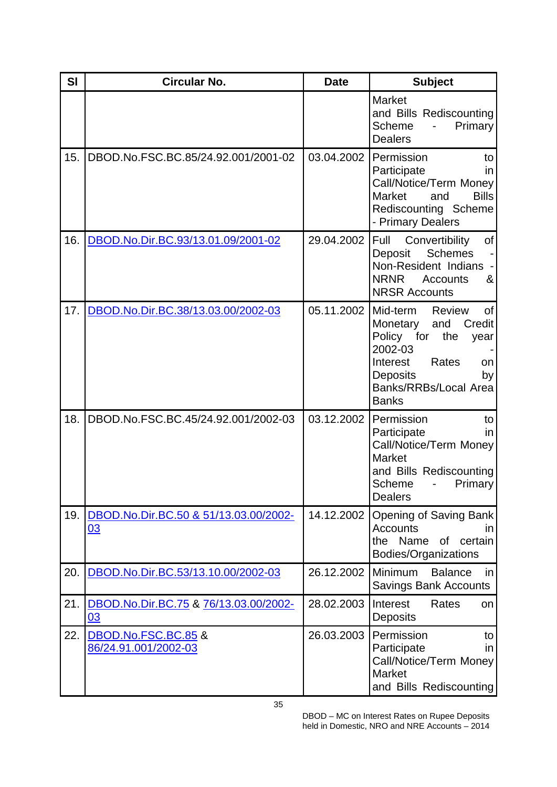| SI  | <b>Circular No.</b>                         | <b>Date</b> | <b>Subject</b>                                                                                                                                                                                                  |
|-----|---------------------------------------------|-------------|-----------------------------------------------------------------------------------------------------------------------------------------------------------------------------------------------------------------|
|     |                                             |             | <b>Market</b><br>and Bills Rediscounting<br><b>Scheme</b><br>Primary<br>$\overline{\phantom{0}}$<br><b>Dealers</b>                                                                                              |
| 15. | DBOD.No.FSC.BC.85/24.92.001/2001-02         | 03.04.2002  | Permission<br>to<br>Participate<br>in<br>Call/Notice/Term Money<br><b>Bills</b><br>Market<br>and<br>Rediscounting Scheme<br>- Primary Dealers                                                                   |
| 16. | DBOD.No.Dir.BC.93/13.01.09/2001-02          | 29.04.2002  | Convertibility<br>Full<br>of<br><b>Schemes</b><br>Deposit<br>Non-Resident Indians<br><b>NRNR</b><br>&<br>Accounts<br><b>NRSR Accounts</b>                                                                       |
| 17. | DBOD.No.Dir.BC.38/13.03.00/2002-03          | 05.11.2002  | Mid-term<br><b>Review</b><br><b>of</b><br>Monetary<br>and<br>Credit<br>Policy for<br>the<br>year<br>2002-03<br>Rates<br>Interest<br>on<br><b>Deposits</b><br>by<br><b>Banks/RRBs/Local Area</b><br><b>Banks</b> |
| 18. | DBOD.No.FSC.BC.45/24.92.001/2002-03         | 03.12.2002  | Permission<br>to<br>Participate<br>in<br>Call/Notice/Term Money<br><b>Market</b><br>and Bills Rediscounting<br>Scheme<br><b>Primary</b><br><b>Dealers</b>                                                       |
| 19. | DBOD.No.Dir.BC.50 & 51/13.03.00/2002-<br>03 | 14.12.2002  | Opening of Saving Bank<br><b>Accounts</b><br>ın<br>the Name of certain<br>Bodies/Organizations                                                                                                                  |
| 20. | DBOD.No.Dir.BC.53/13.10.00/2002-03          | 26.12.2002  | <b>Minimum</b><br><b>Balance</b><br>in<br><b>Savings Bank Accounts</b>                                                                                                                                          |
| 21. | DBOD.No.Dir.BC.75 & 76/13.03.00/2002-<br>03 | 28.02.2003  | Interest<br>Rates<br>on<br><b>Deposits</b>                                                                                                                                                                      |
| 22. | DBOD.No.FSC.BC.85 &<br>86/24.91.001/2002-03 | 26.03.2003  | Permission<br>to<br>Participate<br>in<br>Call/Notice/Term Money<br><b>Market</b><br>and Bills Rediscounting                                                                                                     |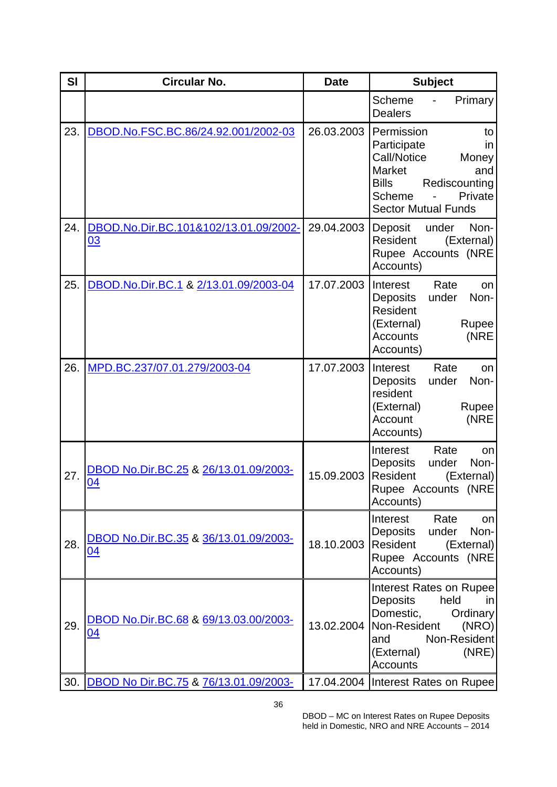| <b>SI</b> | <b>Circular No.</b>                         | <b>Date</b> | <b>Subject</b>                                                                                                                                                                     |
|-----------|---------------------------------------------|-------------|------------------------------------------------------------------------------------------------------------------------------------------------------------------------------------|
|           |                                             |             | Primary<br><b>Scheme</b><br><b>Dealers</b>                                                                                                                                         |
| 23.       | DBOD.No.FSC.BC.86/24.92.001/2002-03         | 26.03.2003  | Permission<br>to<br>Participate<br>in<br>Call/Notice<br>Money<br><b>Market</b><br>and<br><b>Bills</b><br>Rediscounting<br>Scheme<br>Private<br><b>Sector Mutual Funds</b>          |
| 24.       | DBOD.No.Dir.BC.101&102/13.01.09/2002-<br>03 | 29.04.2003  | Deposit under<br>Non-<br>Resident<br>(External)<br>Rupee Accounts (NRE<br>Accounts)                                                                                                |
| 25.       | DBOD.No.Dir.BC.1 & 2/13.01.09/2003-04       | 17.07.2003  | Interest<br>Rate<br>on<br>Deposits<br>Non-<br>under<br>Resident<br>(External)<br>Rupee<br>(NRE<br><b>Accounts</b><br>Accounts)                                                     |
| 26.       | MPD.BC.237/07.01.279/2003-04                | 17.07.2003  | Rate<br>Interest<br>on<br><b>Deposits</b><br>under<br>Non-<br>resident<br>(External)<br>Rupee<br>(NRE<br>Account<br>Accounts)                                                      |
| 27.       | DBOD No.Dir.BC.25 & 26/13.01.09/2003-<br>04 | 15.09.2003  | Interest<br>Rate<br>on<br><b>Deposits</b><br>Non-<br>under<br>Resident<br>(External)<br>Rupee Accounts (NRE<br>Accounts)                                                           |
| 28.       | DBOD No.Dir.BC.35 & 36/13.01.09/2003-<br>04 | 18.10.2003  | Interest<br>Rate<br>on<br>Deposits<br>Non-<br>under<br>Resident<br>(External)<br>Rupee Accounts (NRE<br>Accounts)                                                                  |
| 29.       | DBOD No.Dir.BC.68 & 69/13.03.00/2003-<br>04 | 13.02.2004  | <b>Interest Rates on Rupee</b><br><b>Deposits</b><br>held<br>in<br>Domestic,<br>Ordinary<br>Non-Resident<br>(NRO)<br>Non-Resident<br>and<br>(NRE)<br>(External)<br><b>Accounts</b> |
|           | 30. DBOD No Dir.BC.75 & 76/13.01.09/2003-   |             | 17.04.2004   Interest Rates on Rupee                                                                                                                                               |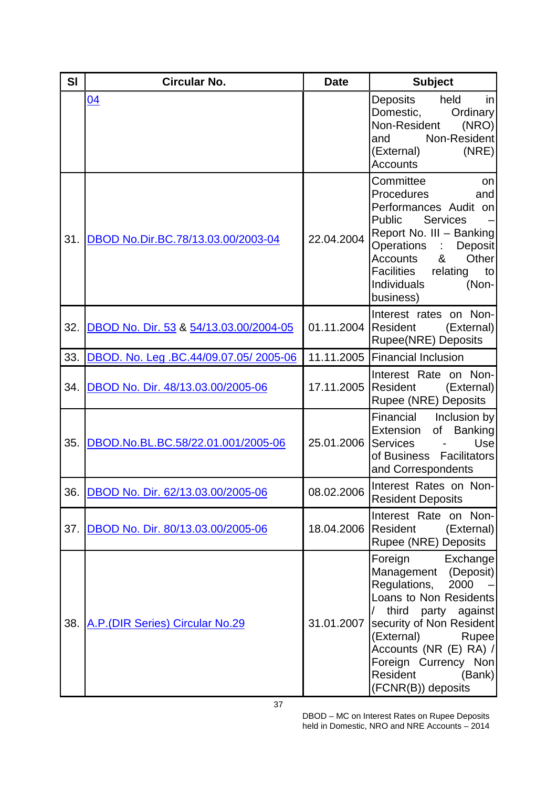| SI  | <b>Circular No.</b>                    | <b>Date</b>         | <b>Subject</b>                                                                                                                                                                                                                                                                |
|-----|----------------------------------------|---------------------|-------------------------------------------------------------------------------------------------------------------------------------------------------------------------------------------------------------------------------------------------------------------------------|
|     | 04                                     |                     | held<br>Deposits<br>in<br>Domestic,<br>Ordinary<br>Non-Resident<br>(NRO)<br>Non-Resident<br>and<br>(NRE)<br>(External)<br><b>Accounts</b>                                                                                                                                     |
| 31. | DBOD No.Dir.BC.78/13.03.00/2003-04     | 22.04.2004          | Committee<br>on<br>Procedures<br>and<br>Performances Audit on<br><b>Services</b><br><b>Public</b><br>Report No. III - Banking<br>Operations : Deposit<br>Other<br>Accounts<br>&<br>Facilities relating<br>to<br><b>Individuals</b><br>(Non-<br>business)                      |
| 32. | DBOD No. Dir. 53 & 54/13.03.00/2004-05 | 01.11.2004 Resident | Interest rates on Non-<br>(External)<br><b>Rupee(NRE) Deposits</b>                                                                                                                                                                                                            |
| 33. | DBOD. No. Leg. BC.44/09.07.05/2005-06  |                     | 11.11.2005 Financial Inclusion                                                                                                                                                                                                                                                |
| 34. | DBOD No. Dir. 48/13.03.00/2005-06      |                     | Interest Rate on Non-<br>17.11.2005 Resident<br>(External)<br><b>Rupee (NRE) Deposits</b>                                                                                                                                                                                     |
| 35. | DBOD.No.BL.BC.58/22.01.001/2005-06     | 25.01.2006          | Financial<br>Inclusion by<br><b>Banking</b><br>Extension<br>of<br>Use<br>Services<br>of Business Facilitators<br>and Correspondents                                                                                                                                           |
| 36. | DBOD No. Dir. 62/13.03.00/2005-06      |                     | 08.02.2006 Interest Rates on Non-<br><b>Resident Deposits</b>                                                                                                                                                                                                                 |
| 37. | DBOD No. Dir. 80/13.03.00/2005-06      | 18.04.2006          | Interest Rate on Non-<br>Resident<br>(External)<br>Rupee (NRE) Deposits                                                                                                                                                                                                       |
| 38. | A.P. (DIR Series) Circular No.29       | 31.01.2007          | Foreign Exchange<br>Management (Deposit)<br>Regulations, 2000<br>Loans to Non Residents<br>$\sqrt{2}$<br>third party against<br>security of Non Resident<br>(External)<br>Rupee<br>Accounts (NR (E) RA) /<br>Foreign Currency Non<br>Resident<br>(Bank)<br>(FCNR(B)) deposits |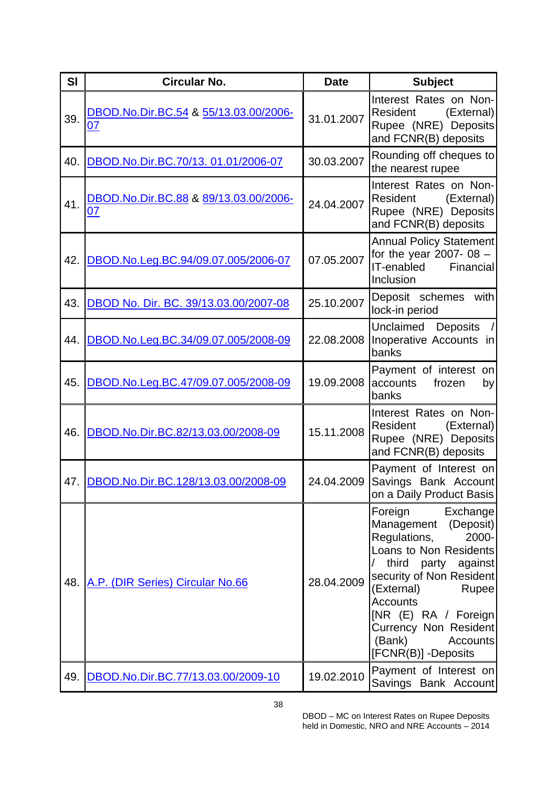| SI  | <b>Circular No.</b>                         | <b>Date</b> | <b>Subject</b>                                                                                                                                                                                                                                                                                          |
|-----|---------------------------------------------|-------------|---------------------------------------------------------------------------------------------------------------------------------------------------------------------------------------------------------------------------------------------------------------------------------------------------------|
| 39. | DBOD.No.Dir.BC.54 & 55/13.03.00/2006-<br>07 | 31.01.2007  | Interest Rates on Non-<br>Resident<br>(External)<br>Rupee (NRE) Deposits<br>and FCNR(B) deposits                                                                                                                                                                                                        |
| 40. | DBOD.No.Dir.BC.70/13. 01.01/2006-07         | 30.03.2007  | Rounding off cheques to<br>the nearest rupee                                                                                                                                                                                                                                                            |
| 41. | DBOD.No.Dir.BC.88 & 89/13.03.00/2006-<br>07 | 24.04.2007  | Interest Rates on Non-<br>Resident<br>(External)<br>Rupee (NRE) Deposits<br>and FCNR(B) deposits                                                                                                                                                                                                        |
| 42. | DBOD.No.Leg.BC.94/09.07.005/2006-07         | 07.05.2007  | <b>Annual Policy Statement</b><br>for the year 2007-08 $-$<br>IT-enabled Financial<br>Inclusion                                                                                                                                                                                                         |
| 43. | DBOD No. Dir. BC. 39/13.03.00/2007-08       | 25.10.2007  | with<br>Deposit schemes<br>lock-in period                                                                                                                                                                                                                                                               |
| 44. | DBOD.No.Leg.BC.34/09.07.005/2008-09         | 22.08.2008  | Unclaimed Deposits<br>Inoperative Accounts in<br>banks                                                                                                                                                                                                                                                  |
| 45. | DBOD.No.Leg.BC.47/09.07.005/2008-09         | 19.09.2008  | Payment of interest on<br>accounts<br>frozen<br>by<br>banks                                                                                                                                                                                                                                             |
| 46. | DBOD.No.Dir.BC.82/13.03.00/2008-09          | 15.11.2008  | Interest Rates on Non-<br>Resident<br>(External)<br>Rupee (NRE) Deposits<br>and FCNR(B) deposits                                                                                                                                                                                                        |
|     | 47. DBOD.No.Dir.BC.128/13.03.00/2008-09     | 24.04.2009  | Payment of Interest on<br>Savings Bank Account<br>on a Daily Product Basis                                                                                                                                                                                                                              |
| 48. | A.P. (DIR Series) Circular No.66            | 28.04.2009  | Foreign<br>Exchange<br>Management (Deposit)<br>Regulations,<br>2000-<br>Loans to Non Residents<br>$\sqrt{2}$<br>third party against<br>security of Non Resident<br>(External)<br>Rupee<br><b>Accounts</b><br>[NR (E) RA / Foreign<br>Currency Non Resident<br>(Bank)<br>Accounts<br>[FCNR(B)] -Deposits |
|     | 49. DBOD.No.Dir.BC.77/13.03.00/2009-10      | 19.02.2010  | Payment of Interest on<br>Savings Bank Account                                                                                                                                                                                                                                                          |

38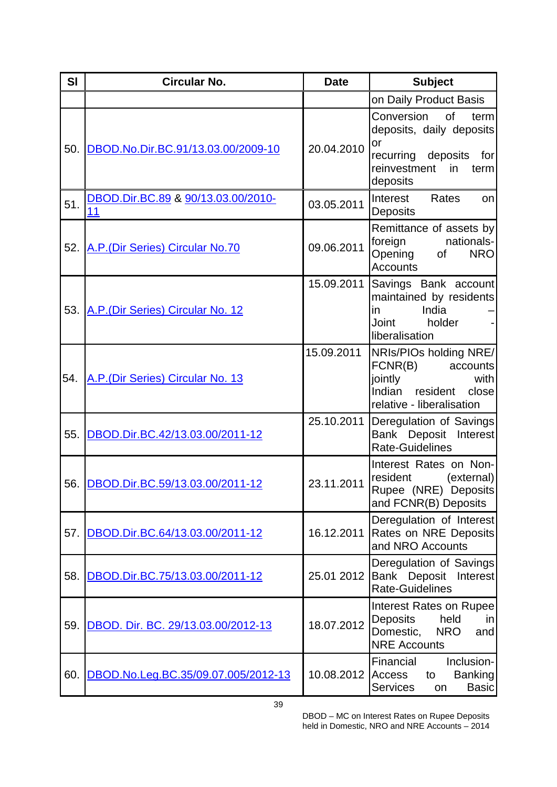| SI  | <b>Circular No.</b>                      | <b>Date</b> | <b>Subject</b>                                                                                                                    |
|-----|------------------------------------------|-------------|-----------------------------------------------------------------------------------------------------------------------------------|
|     |                                          |             | on Daily Product Basis                                                                                                            |
| 50. | DBOD.No.Dir.BC.91/13.03.00/2009-10       | 20.04.2010  | of<br>Conversion<br>term<br>deposits, daily deposits<br>or<br>recurring deposits<br>for<br>reinvestment<br>in<br>term<br>deposits |
| 51. | DBOD.Dir.BC.89 & 90/13.03.00/2010-<br>11 | 03.05.2011  | Interest<br>Rates<br>on<br>Deposits                                                                                               |
| 52. | A.P. (Dir Series) Circular No.70         | 09.06.2011  | Remittance of assets by<br>nationals-<br>foreign<br>Opening of<br><b>NRO</b><br><b>Accounts</b>                                   |
| 53. | A.P. (Dir Series) Circular No. 12        | 15.09.2011  | Savings Bank account<br>maintained by residents<br>India<br>in<br>Joint<br>holder<br>liberalisation                               |
| 54. | A.P.(Dir Series) Circular No. 13         | 15.09.2011  | NRIs/PIOs holding NRE/<br>FCNR(B)<br>accounts<br>jointly<br>with<br>Indian resident<br>close<br>relative - liberalisation         |
| 55. | DBOD.Dir.BC.42/13.03.00/2011-12          | 25.10.2011  | Deregulation of Savings<br>Bank Deposit Interest<br><b>Rate-Guidelines</b>                                                        |
|     | 56. DBOD.Dir.BC.59/13.03.00/2011-12      | 23.11.2011  | Interest Rates on Non-<br>resident<br>(external)<br>Rupee (NRE) Deposits<br>and FCNR(B) Deposits                                  |
| 57. | DBOD.Dir.BC.64/13.03.00/2011-12          | 16.12.2011  | Deregulation of Interest<br>Rates on NRE Deposits<br>and NRO Accounts                                                             |
| 58. | DBOD.Dir.BC.75/13.03.00/2011-12          | 25.01 2012  | Deregulation of Savings<br>Bank Deposit<br>Interest<br><b>Rate-Guidelines</b>                                                     |
| 59. | DBOD. Dir. BC. 29/13.03.00/2012-13       | 18.07.2012  | Interest Rates on Rupee<br>held<br><b>Deposits</b><br>in<br>Domestic,<br><b>NRO</b><br>and<br><b>NRE Accounts</b>                 |
| 60. | DBOD.No.Leg.BC.35/09.07.005/2012-13      | 10.08.2012  | Financial<br>Inclusion-<br>Access<br><b>Banking</b><br>to<br><b>Basic</b><br><b>Services</b><br>on                                |